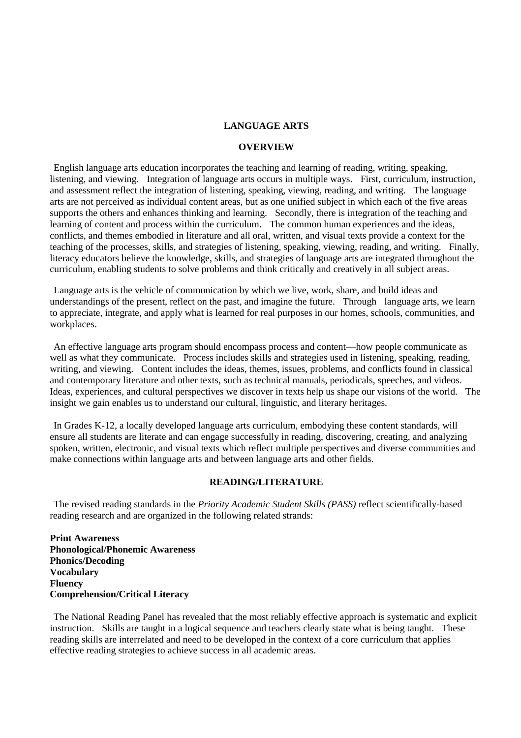#### **LANGUAGE ARTS**

#### **OVERVIEW**

English language arts education incorporates the teaching and learning of reading, writing, speaking, listening, and viewing. Integration of language arts occurs in multiple ways. First, curriculum, instruction, and assessment reflect the integration of listening, speaking, viewing, reading, and writing. The language arts are not perceived as individual content areas, but as one unified subject in which each of the five areas supports the others and enhances thinking and learning. Secondly, there is integration of the teaching and learning of content and process within the curriculum. The common human experiences and the ideas, conflicts, and themes embodied in literature and all oral, written, and visual texts provide a context for the teaching of the processes, skills, and strategies of listening, speaking, viewing, reading, and writing. Finally, literacy educators believe the knowledge, skills, and strategies of language arts are integrated throughout the curriculum, enabling students to solve problems and think critically and creatively in all subject areas.

Language arts is the vehicle of communication by which we live, work, share, and build ideas and understandings of the present, reflect on the past, and imagine the future. Through language arts, we learn to appreciate, integrate, and apply what is learned for real purposes in our homes, schools, communities, and workplaces.

An effective language arts program should encompass process and content—how people communicate as well as what they communicate. Process includes skills and strategies used in listening, speaking, reading, writing, and viewing. Content includes the ideas, themes, issues, problems, and conflicts found in classical and contemporary literature and other texts, such as technical manuals, periodicals, speeches, and videos. Ideas, experiences, and cultural perspectives we discover in texts help us shape our visions of the world. The insight we gain enables us to understand our cultural, linguistic, and literary heritages.

In Grades K-12, a locally developed language arts curriculum, embodying these content standards, will ensure all students are literate and can engage successfully in reading, discovering, creating, and analyzing spoken, written, electronic, and visual texts which reflect multiple perspectives and diverse communities and make connections within language arts and between language arts and other fields.

#### **READING/LITERATURE**

The revised reading standards in the *Priority Academic Student Skills (PASS)* reflect scientifically-based reading research and are organized in the following related strands:

**Print Awareness Phonological/Phonemic Awareness Phonics/Decoding Vocabulary Fluency Comprehension/Critical Literacy**

The National Reading Panel has revealed that the most reliably effective approach is systematic and explicit instruction. Skills are taught in a logical sequence and teachers clearly state what is being taught. These reading skills are interrelated and need to be developed in the context of a core curriculum that applies effective reading strategies to achieve success in all academic areas.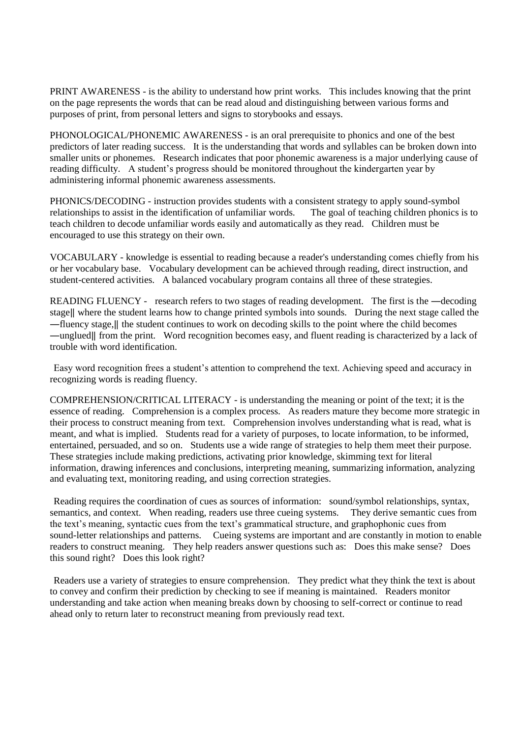PRINT AWARENESS - is the ability to understand how print works. This includes knowing that the print on the page represents the words that can be read aloud and distinguishing between various forms and purposes of print, from personal letters and signs to storybooks and essays.

PHONOLOGICAL/PHONEMIC AWARENESS - is an oral prerequisite to phonics and one of the best predictors of later reading success. It is the understanding that words and syllables can be broken down into smaller units or phonemes. Research indicates that poor phonemic awareness is a major underlying cause of reading difficulty. A student's progress should be monitored throughout the kindergarten year by administering informal phonemic awareness assessments.

PHONICS/DECODING - instruction provides students with a consistent strategy to apply sound-symbol relationships to assist in the identification of unfamiliar words. The goal of teaching children phonics is to teach children to decode unfamiliar words easily and automatically as they read. Children must be encouraged to use this strategy on their own.

VOCABULARY - knowledge is essential to reading because a reader's understanding comes chiefly from his or her vocabulary base. Vocabulary development can be achieved through reading, direct instruction, and student-centered activities. A balanced vocabulary program contains all three of these strategies.

READING FLUENCY - research refers to two stages of reading development. The first is the —decoding stage‖ where the student learns how to change printed symbols into sounds. During the next stage called the ―fluency stage,‖ the student continues to work on decoding skills to the point where the child becomes ―unglued‖ from the print. Word recognition becomes easy, and fluent reading is characterized by a lack of trouble with word identification.

Easy word recognition frees a student's attention to comprehend the text. Achieving speed and accuracy in recognizing words is reading fluency.

COMPREHENSION/CRITICAL LITERACY - is understanding the meaning or point of the text; it is the essence of reading. Comprehension is a complex process. As readers mature they become more strategic in their process to construct meaning from text. Comprehension involves understanding what is read, what is meant, and what is implied. Students read for a variety of purposes, to locate information, to be informed, entertained, persuaded, and so on. Students use a wide range of strategies to help them meet their purpose. These strategies include making predictions, activating prior knowledge, skimming text for literal information, drawing inferences and conclusions, interpreting meaning, summarizing information, analyzing and evaluating text, monitoring reading, and using correction strategies.

Reading requires the coordination of cues as sources of information: sound/symbol relationships, syntax, semantics, and context. When reading, readers use three cueing systems. They derive semantic cues from the text's meaning, syntactic cues from the text's grammatical structure, and graphophonic cues from sound-letter relationships and patterns. Cueing systems are important and are constantly in motion to enable readers to construct meaning. They help readers answer questions such as: Does this make sense? Does this sound right? Does this look right?

Readers use a variety of strategies to ensure comprehension. They predict what they think the text is about to convey and confirm their prediction by checking to see if meaning is maintained. Readers monitor understanding and take action when meaning breaks down by choosing to self-correct or continue to read ahead only to return later to reconstruct meaning from previously read text.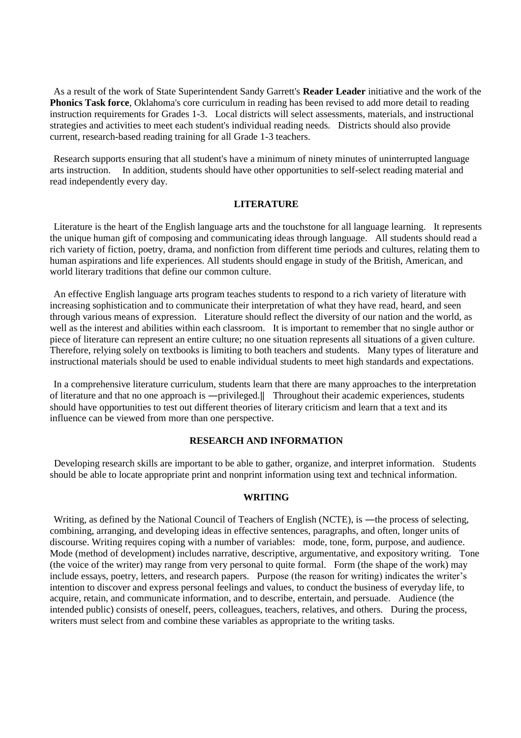As a result of the work of State Superintendent Sandy Garrett's **Reader Leader** initiative and the work of the **Phonics Task force**, Oklahoma's core curriculum in reading has been revised to add more detail to reading instruction requirements for Grades 1-3. Local districts will select assessments, materials, and instructional strategies and activities to meet each student's individual reading needs. Districts should also provide current, research-based reading training for all Grade 1-3 teachers.

Research supports ensuring that all student's have a minimum of ninety minutes of uninterrupted language arts instruction. In addition, students should have other opportunities to self-select reading material and read independently every day.

#### **LITERATURE**

Literature is the heart of the English language arts and the touchstone for all language learning. It represents the unique human gift of composing and communicating ideas through language. All students should read a rich variety of fiction, poetry, drama, and nonfiction from different time periods and cultures, relating them to human aspirations and life experiences. All students should engage in study of the British, American, and world literary traditions that define our common culture.

An effective English language arts program teaches students to respond to a rich variety of literature with increasing sophistication and to communicate their interpretation of what they have read, heard, and seen through various means of expression. Literature should reflect the diversity of our nation and the world, as well as the interest and abilities within each classroom. It is important to remember that no single author or piece of literature can represent an entire culture; no one situation represents all situations of a given culture. Therefore, relying solely on textbooks is limiting to both teachers and students. Many types of literature and instructional materials should be used to enable individual students to meet high standards and expectations.

In a comprehensive literature curriculum, students learn that there are many approaches to the interpretation of literature and that no one approach is ―privileged.‖ Throughout their academic experiences, students should have opportunities to test out different theories of literary criticism and learn that a text and its influence can be viewed from more than one perspective.

## **RESEARCH AND INFORMATION**

Developing research skills are important to be able to gather, organize, and interpret information. Students should be able to locate appropriate print and nonprint information using text and technical information.

#### **WRITING**

Writing, as defined by the National Council of Teachers of English (NCTE), is —the process of selecting, combining, arranging, and developing ideas in effective sentences, paragraphs, and often, longer units of discourse. Writing requires coping with a number of variables: mode, tone, form, purpose, and audience. Mode (method of development) includes narrative, descriptive, argumentative, and expository writing. Tone (the voice of the writer) may range from very personal to quite formal. Form (the shape of the work) may include essays, poetry, letters, and research papers. Purpose (the reason for writing) indicates the writer's intention to discover and express personal feelings and values, to conduct the business of everyday life, to acquire, retain, and communicate information, and to describe, entertain, and persuade. Audience (the intended public) consists of oneself, peers, colleagues, teachers, relatives, and others. During the process, writers must select from and combine these variables as appropriate to the writing tasks.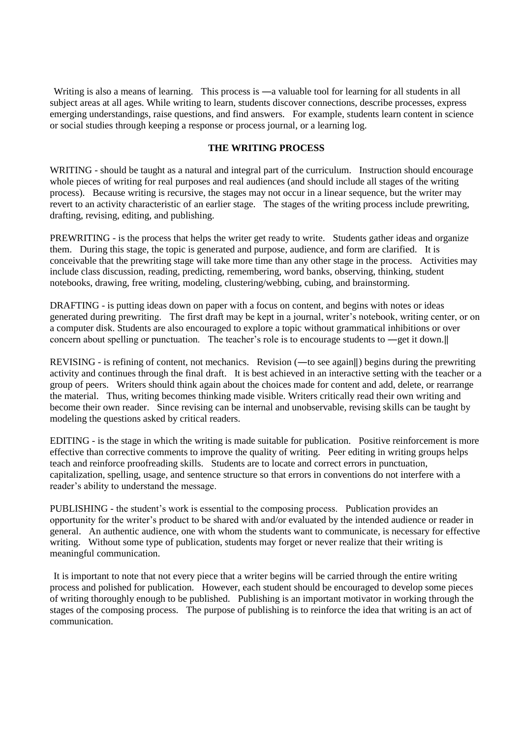Writing is also a means of learning. This process is —a valuable tool for learning for all students in all subject areas at all ages. While writing to learn, students discover connections, describe processes, express emerging understandings, raise questions, and find answers. For example, students learn content in science or social studies through keeping a response or process journal, or a learning log.

### **THE WRITING PROCESS**

WRITING - should be taught as a natural and integral part of the curriculum. Instruction should encourage whole pieces of writing for real purposes and real audiences (and should include all stages of the writing process). Because writing is recursive, the stages may not occur in a linear sequence, but the writer may revert to an activity characteristic of an earlier stage. The stages of the writing process include prewriting, drafting, revising, editing, and publishing.

PREWRITING - is the process that helps the writer get ready to write. Students gather ideas and organize them. During this stage, the topic is generated and purpose, audience, and form are clarified. It is conceivable that the prewriting stage will take more time than any other stage in the process. Activities may include class discussion, reading, predicting, remembering, word banks, observing, thinking, student notebooks, drawing, free writing, modeling, clustering/webbing, cubing, and brainstorming.

DRAFTING - is putting ideas down on paper with a focus on content, and begins with notes or ideas generated during prewriting. The first draft may be kept in a journal, writer's notebook, writing center, or on a computer disk. Students are also encouraged to explore a topic without grammatical inhibitions or over concern about spelling or punctuation. The teacher's role is to encourage students to —get it down.

REVISING - is refining of content, not mechanics. Revision (—to see again||) begins during the prewriting activity and continues through the final draft. It is best achieved in an interactive setting with the teacher or a group of peers. Writers should think again about the choices made for content and add, delete, or rearrange the material. Thus, writing becomes thinking made visible. Writers critically read their own writing and become their own reader. Since revising can be internal and unobservable, revising skills can be taught by modeling the questions asked by critical readers.

EDITING - is the stage in which the writing is made suitable for publication. Positive reinforcement is more effective than corrective comments to improve the quality of writing. Peer editing in writing groups helps teach and reinforce proofreading skills. Students are to locate and correct errors in punctuation, capitalization, spelling, usage, and sentence structure so that errors in conventions do not interfere with a reader's ability to understand the message.

PUBLISHING - the student's work is essential to the composing process. Publication provides an opportunity for the writer's product to be shared with and/or evaluated by the intended audience or reader in general. An authentic audience, one with whom the students want to communicate, is necessary for effective writing. Without some type of publication, students may forget or never realize that their writing is meaningful communication.

It is important to note that not every piece that a writer begins will be carried through the entire writing process and polished for publication. However, each student should be encouraged to develop some pieces of writing thoroughly enough to be published. Publishing is an important motivator in working through the stages of the composing process. The purpose of publishing is to reinforce the idea that writing is an act of communication.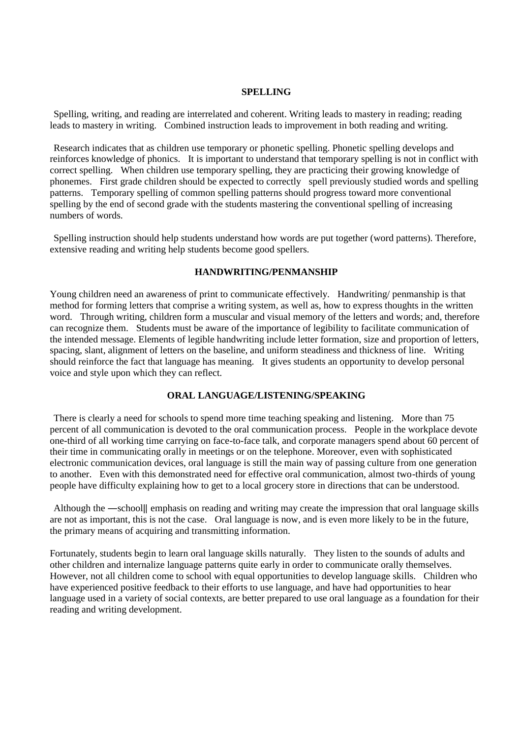#### **SPELLING**

Spelling, writing, and reading are interrelated and coherent. Writing leads to mastery in reading; reading leads to mastery in writing. Combined instruction leads to improvement in both reading and writing.

Research indicates that as children use temporary or phonetic spelling. Phonetic spelling develops and reinforces knowledge of phonics. It is important to understand that temporary spelling is not in conflict with correct spelling. When children use temporary spelling, they are practicing their growing knowledge of phonemes. First grade children should be expected to correctly spell previously studied words and spelling patterns. Temporary spelling of common spelling patterns should progress toward more conventional spelling by the end of second grade with the students mastering the conventional spelling of increasing numbers of words.

Spelling instruction should help students understand how words are put together (word patterns). Therefore, extensive reading and writing help students become good spellers.

#### **HANDWRITING/PENMANSHIP**

Young children need an awareness of print to communicate effectively. Handwriting/ penmanship is that method for forming letters that comprise a writing system, as well as, how to express thoughts in the written word. Through writing, children form a muscular and visual memory of the letters and words; and, therefore can recognize them. Students must be aware of the importance of legibility to facilitate communication of the intended message. Elements of legible handwriting include letter formation, size and proportion of letters, spacing, slant, alignment of letters on the baseline, and uniform steadiness and thickness of line. Writing should reinforce the fact that language has meaning. It gives students an opportunity to develop personal voice and style upon which they can reflect.

#### **ORAL LANGUAGE/LISTENING/SPEAKING**

There is clearly a need for schools to spend more time teaching speaking and listening. More than 75 percent of all communication is devoted to the oral communication process. People in the workplace devote one-third of all working time carrying on face-to-face talk, and corporate managers spend about 60 percent of their time in communicating orally in meetings or on the telephone. Moreover, even with sophisticated electronic communication devices, oral language is still the main way of passing culture from one generation to another. Even with this demonstrated need for effective oral communication, almost two-thirds of young people have difficulty explaining how to get to a local grocery store in directions that can be understood.

Although the ―school‖ emphasis on reading and writing may create the impression that oral language skills are not as important, this is not the case. Oral language is now, and is even more likely to be in the future, the primary means of acquiring and transmitting information.

Fortunately, students begin to learn oral language skills naturally. They listen to the sounds of adults and other children and internalize language patterns quite early in order to communicate orally themselves. However, not all children come to school with equal opportunities to develop language skills. Children who have experienced positive feedback to their efforts to use language, and have had opportunities to hear language used in a variety of social contexts, are better prepared to use oral language as a foundation for their reading and writing development.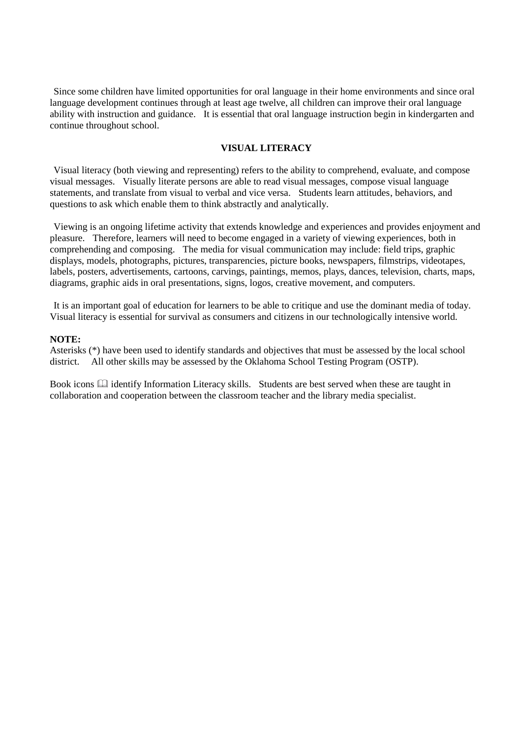Since some children have limited opportunities for oral language in their home environments and since oral language development continues through at least age twelve, all children can improve their oral language ability with instruction and guidance. It is essential that oral language instruction begin in kindergarten and continue throughout school.

## **VISUAL LITERACY**

Visual literacy (both viewing and representing) refers to the ability to comprehend, evaluate, and compose visual messages. Visually literate persons are able to read visual messages, compose visual language statements, and translate from visual to verbal and vice versa. Students learn attitudes, behaviors, and questions to ask which enable them to think abstractly and analytically.

Viewing is an ongoing lifetime activity that extends knowledge and experiences and provides enjoyment and pleasure. Therefore, learners will need to become engaged in a variety of viewing experiences, both in comprehending and composing. The media for visual communication may include: field trips, graphic displays, models, photographs, pictures, transparencies, picture books, newspapers, filmstrips, videotapes, labels, posters, advertisements, cartoons, carvings, paintings, memos, plays, dances, television, charts, maps, diagrams, graphic aids in oral presentations, signs, logos, creative movement, and computers.

It is an important goal of education for learners to be able to critique and use the dominant media of today. Visual literacy is essential for survival as consumers and citizens in our technologically intensive world.

### **NOTE:**

Asterisks (\*) have been used to identify standards and objectives that must be assessed by the local school district. All other skills may be assessed by the Oklahoma School Testing Program (OSTP).

Book icons **II** identify Information Literacy skills. Students are best served when these are taught in collaboration and cooperation between the classroom teacher and the library media specialist.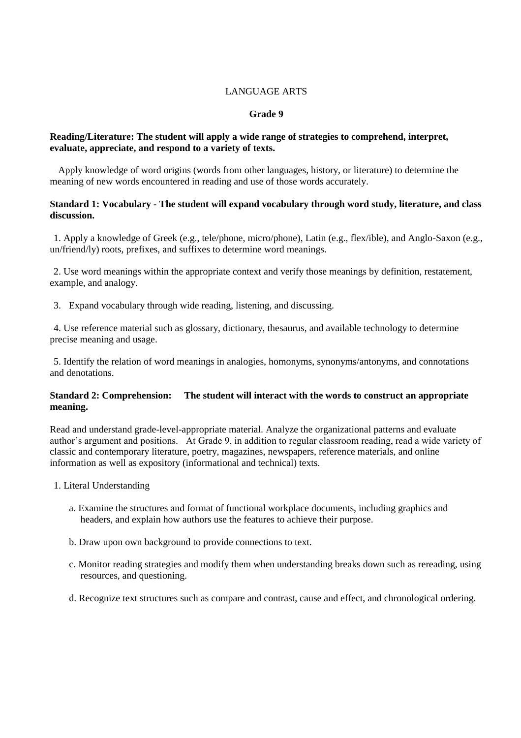# LANGUAGE ARTS

## **Grade 9**

# **Reading/Literature: The student will apply a wide range of strategies to comprehend, interpret, evaluate, appreciate, and respond to a variety of texts.**

Apply knowledge of word origins (words from other languages, history, or literature) to determine the meaning of new words encountered in reading and use of those words accurately.

## **Standard 1: Vocabulary - The student will expand vocabulary through word study, literature, and class discussion.**

1. Apply a knowledge of Greek (e.g., tele/phone, micro/phone), Latin (e.g., flex/ible), and Anglo-Saxon (e.g., un/friend/ly) roots, prefixes, and suffixes to determine word meanings.

2. Use word meanings within the appropriate context and verify those meanings by definition, restatement, example, and analogy.

3. Expand vocabulary through wide reading, listening, and discussing.

4. Use reference material such as glossary, dictionary, thesaurus, and available technology to determine precise meaning and usage.

5. Identify the relation of word meanings in analogies, homonyms, synonyms/antonyms, and connotations and denotations.

## **Standard 2: Comprehension: The student will interact with the words to construct an appropriate meaning.**

Read and understand grade-level-appropriate material. Analyze the organizational patterns and evaluate author's argument and positions. At Grade 9, in addition to regular classroom reading, read a wide variety of classic and contemporary literature, poetry, magazines, newspapers, reference materials, and online information as well as expository (informational and technical) texts.

### 1. Literal Understanding

- a. Examine the structures and format of functional workplace documents, including graphics and headers, and explain how authors use the features to achieve their purpose.
- b. Draw upon own background to provide connections to text.
- c. Monitor reading strategies and modify them when understanding breaks down such as rereading, using resources, and questioning.
- d. Recognize text structures such as compare and contrast, cause and effect, and chronological ordering.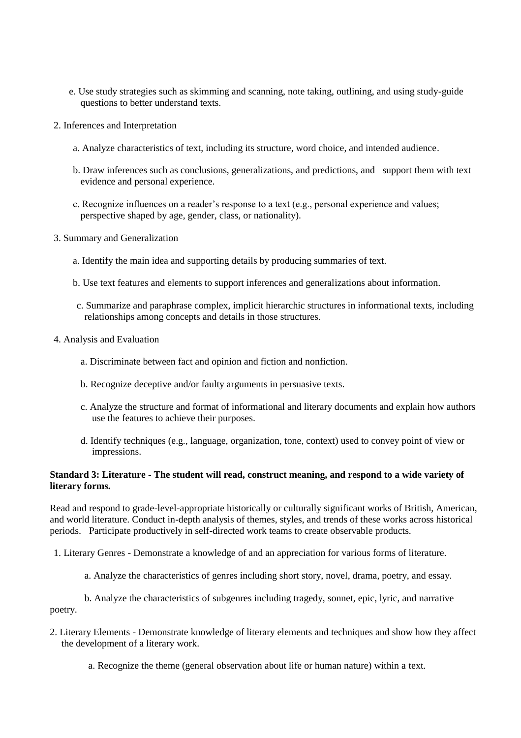- e. Use study strategies such as skimming and scanning, note taking, outlining, and using study-guide questions to better understand texts.
- 2. Inferences and Interpretation
	- a. Analyze characteristics of text, including its structure, word choice, and intended audience.
	- b. Draw inferences such as conclusions, generalizations, and predictions, and support them with text evidence and personal experience.
	- c. Recognize influences on a reader's response to a text (e.g., personal experience and values; perspective shaped by age, gender, class, or nationality).
- 3. Summary and Generalization
	- a. Identify the main idea and supporting details by producing summaries of text.
	- b. Use text features and elements to support inferences and generalizations about information.
	- c. Summarize and paraphrase complex, implicit hierarchic structures in informational texts, including relationships among concepts and details in those structures.
- 4. Analysis and Evaluation
	- a. Discriminate between fact and opinion and fiction and nonfiction.
	- b. Recognize deceptive and/or faulty arguments in persuasive texts.
	- c. Analyze the structure and format of informational and literary documents and explain how authors use the features to achieve their purposes.
	- d. Identify techniques (e.g., language, organization, tone, context) used to convey point of view or impressions.

### **Standard 3: Literature - The student will read, construct meaning, and respond to a wide variety of literary forms.**

Read and respond to grade-level-appropriate historically or culturally significant works of British, American, and world literature. Conduct in-depth analysis of themes, styles, and trends of these works across historical periods. Participate productively in self-directed work teams to create observable products.

1. Literary Genres - Demonstrate a knowledge of and an appreciation for various forms of literature.

a. Analyze the characteristics of genres including short story, novel, drama, poetry, and essay.

b. Analyze the characteristics of subgenres including tragedy, sonnet, epic, lyric, and narrative poetry.

- 2. Literary Elements Demonstrate knowledge of literary elements and techniques and show how they affect the development of a literary work.
	- a. Recognize the theme (general observation about life or human nature) within a text.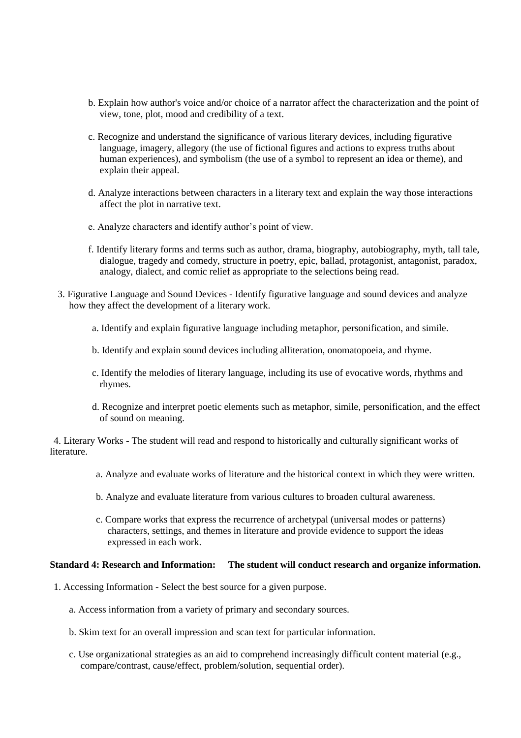- b. Explain how author's voice and/or choice of a narrator affect the characterization and the point of view, tone, plot, mood and credibility of a text.
- c. Recognize and understand the significance of various literary devices, including figurative language, imagery, allegory (the use of fictional figures and actions to express truths about human experiences), and symbolism (the use of a symbol to represent an idea or theme), and explain their appeal.
- d. Analyze interactions between characters in a literary text and explain the way those interactions affect the plot in narrative text.
- e. Analyze characters and identify author's point of view.
- f. Identify literary forms and terms such as author, drama, biography, autobiography, myth, tall tale, dialogue, tragedy and comedy, structure in poetry, epic, ballad, protagonist, antagonist, paradox, analogy, dialect, and comic relief as appropriate to the selections being read.
- 3. Figurative Language and Sound Devices Identify figurative language and sound devices and analyze how they affect the development of a literary work.
	- a. Identify and explain figurative language including metaphor, personification, and simile.
	- b. Identify and explain sound devices including alliteration, onomatopoeia, and rhyme.
	- c. Identify the melodies of literary language, including its use of evocative words, rhythms and rhymes.
	- d. Recognize and interpret poetic elements such as metaphor, simile, personification, and the effect of sound on meaning.

4. Literary Works - The student will read and respond to historically and culturally significant works of literature.

- a. Analyze and evaluate works of literature and the historical context in which they were written.
- b. Analyze and evaluate literature from various cultures to broaden cultural awareness.
- c. Compare works that express the recurrence of archetypal (universal modes or patterns) characters, settings, and themes in literature and provide evidence to support the ideas expressed in each work.

#### **Standard 4: Research and Information: The student will conduct research and organize information.**

- 1. Accessing Information Select the best source for a given purpose.
	- a. Access information from a variety of primary and secondary sources.
	- b. Skim text for an overall impression and scan text for particular information.
	- c. Use organizational strategies as an aid to comprehend increasingly difficult content material (e.g., compare/contrast, cause/effect, problem/solution, sequential order).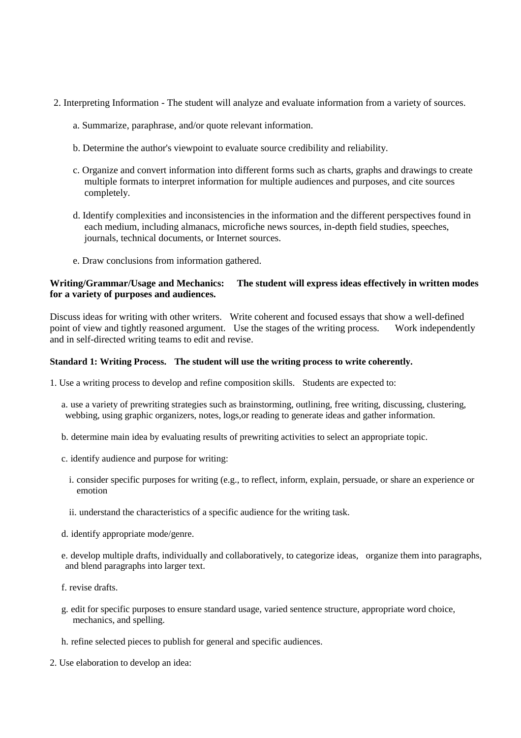- 2. Interpreting Information The student will analyze and evaluate information from a variety of sources.
	- a. Summarize, paraphrase, and/or quote relevant information.
	- b. Determine the author's viewpoint to evaluate source credibility and reliability.
	- c. Organize and convert information into different forms such as charts, graphs and drawings to create multiple formats to interpret information for multiple audiences and purposes, and cite sources completely.
	- d. Identify complexities and inconsistencies in the information and the different perspectives found in each medium, including almanacs, microfiche news sources, in-depth field studies, speeches, journals, technical documents, or Internet sources.
	- e. Draw conclusions from information gathered.

## **Writing/Grammar/Usage and Mechanics: The student will express ideas effectively in written modes for a variety of purposes and audiences.**

Discuss ideas for writing with other writers. Write coherent and focused essays that show a well-defined point of view and tightly reasoned argument. Use the stages of the writing process. Work independently and in self-directed writing teams to edit and revise.

#### **Standard 1: Writing Process. The student will use the writing process to write coherently.**

- 1. Use a writing process to develop and refine composition skills. Students are expected to:
	- a. use a variety of prewriting strategies such as brainstorming, outlining, free writing, discussing, clustering, webbing, using graphic organizers, notes, logs,or reading to generate ideas and gather information.
	- b. determine main idea by evaluating results of prewriting activities to select an appropriate topic.
	- c. identify audience and purpose for writing:
		- i. consider specific purposes for writing (e.g., to reflect, inform, explain, persuade, or share an experience or emotion
		- ii. understand the characteristics of a specific audience for the writing task.
	- d. identify appropriate mode/genre.
	- e. develop multiple drafts, individually and collaboratively, to categorize ideas, organize them into paragraphs, and blend paragraphs into larger text.
	- f. revise drafts.
	- g. edit for specific purposes to ensure standard usage, varied sentence structure, appropriate word choice, mechanics, and spelling.
	- h. refine selected pieces to publish for general and specific audiences.
- 2. Use elaboration to develop an idea: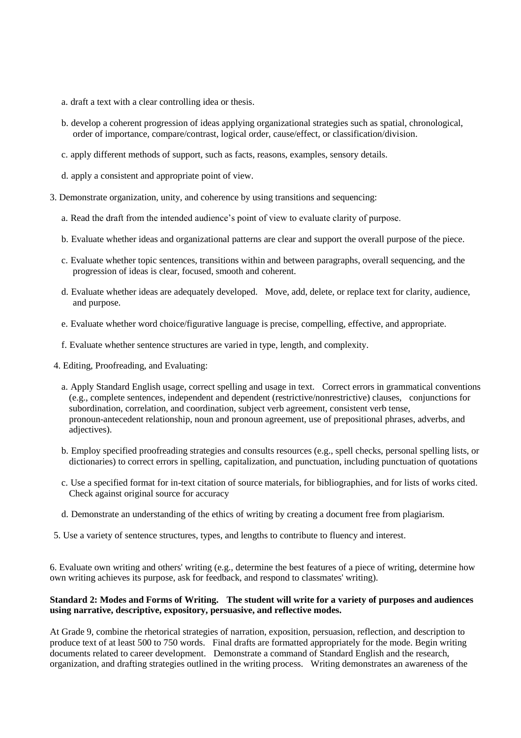- a. draft a text with a clear controlling idea or thesis.
- b. develop a coherent progression of ideas applying organizational strategies such as spatial, chronological, order of importance, compare/contrast, logical order, cause/effect, or classification/division.
- c. apply different methods of support, such as facts, reasons, examples, sensory details.
- d. apply a consistent and appropriate point of view.
- 3. Demonstrate organization, unity, and coherence by using transitions and sequencing:
	- a. Read the draft from the intended audience's point of view to evaluate clarity of purpose.
	- b. Evaluate whether ideas and organizational patterns are clear and support the overall purpose of the piece.
	- c. Evaluate whether topic sentences, transitions within and between paragraphs, overall sequencing, and the progression of ideas is clear, focused, smooth and coherent.
	- d. Evaluate whether ideas are adequately developed. Move, add, delete, or replace text for clarity, audience, and purpose.
	- e. Evaluate whether word choice/figurative language is precise, compelling, effective, and appropriate.
	- f. Evaluate whether sentence structures are varied in type, length, and complexity.
- 4. Editing, Proofreading, and Evaluating:
	- a. Apply Standard English usage, correct spelling and usage in text. Correct errors in grammatical conventions (e.g., complete sentences, independent and dependent (restrictive/nonrestrictive) clauses, conjunctions for subordination, correlation, and coordination, subject verb agreement, consistent verb tense, pronoun-antecedent relationship, noun and pronoun agreement, use of prepositional phrases, adverbs, and adjectives).
	- b. Employ specified proofreading strategies and consults resources (e.g., spell checks, personal spelling lists, or dictionaries) to correct errors in spelling, capitalization, and punctuation, including punctuation of quotations
	- c. Use a specified format for in-text citation of source materials, for bibliographies, and for lists of works cited. Check against original source for accuracy
	- d. Demonstrate an understanding of the ethics of writing by creating a document free from plagiarism.
- 5. Use a variety of sentence structures, types, and lengths to contribute to fluency and interest.

6. Evaluate own writing and others' writing (e.g., determine the best features of a piece of writing, determine how own writing achieves its purpose, ask for feedback, and respond to classmates' writing).

#### **Standard 2: Modes and Forms of Writing. The student will write for a variety of purposes and audiences using narrative, descriptive, expository, persuasive, and reflective modes.**

At Grade 9, combine the rhetorical strategies of narration, exposition, persuasion, reflection, and description to produce text of at least 500 to 750 words. Final drafts are formatted appropriately for the mode. Begin writing documents related to career development. Demonstrate a command of Standard English and the research, organization, and drafting strategies outlined in the writing process. Writing demonstrates an awareness of the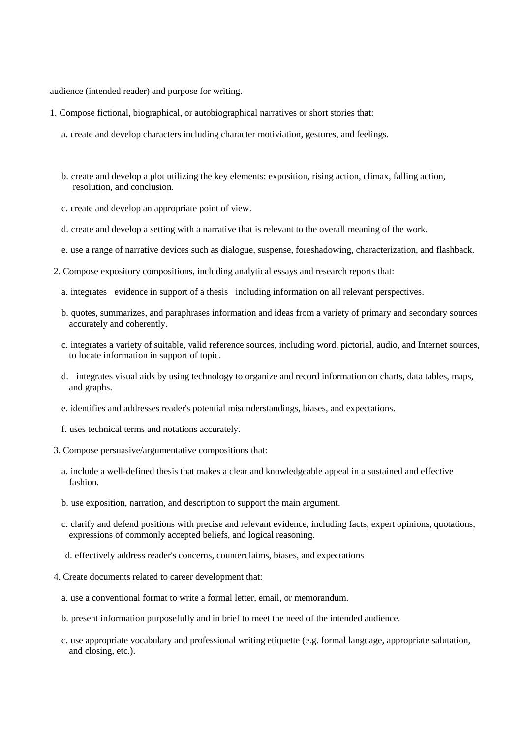audience (intended reader) and purpose for writing.

- 1. Compose fictional, biographical, or autobiographical narratives or short stories that:
	- a. create and develop characters including character motiviation, gestures, and feelings.
	- b. create and develop a plot utilizing the key elements: exposition, rising action, climax, falling action, resolution, and conclusion.
	- c. create and develop an appropriate point of view.
	- d. create and develop a setting with a narrative that is relevant to the overall meaning of the work.
	- e. use a range of narrative devices such as dialogue, suspense, foreshadowing, characterization, and flashback.
- 2. Compose expository compositions, including analytical essays and research reports that:
	- a. integrates evidence in support of a thesis including information on all relevant perspectives.
	- b. quotes, summarizes, and paraphrases information and ideas from a variety of primary and secondary sources accurately and coherently.
	- c. integrates a variety of suitable, valid reference sources, including word, pictorial, audio, and Internet sources, to locate information in support of topic.
	- d. integrates visual aids by using technology to organize and record information on charts, data tables, maps, and graphs.
	- e. identifies and addresses reader's potential misunderstandings, biases, and expectations.
	- f. uses technical terms and notations accurately.
- 3. Compose persuasive/argumentative compositions that:
	- a. include a well-defined thesis that makes a clear and knowledgeable appeal in a sustained and effective fashion.
	- b. use exposition, narration, and description to support the main argument.
	- c. clarify and defend positions with precise and relevant evidence, including facts, expert opinions, quotations, expressions of commonly accepted beliefs, and logical reasoning.
	- d. effectively address reader's concerns, counterclaims, biases, and expectations
- 4. Create documents related to career development that:
	- a. use a conventional format to write a formal letter, email, or memorandum.
	- b. present information purposefully and in brief to meet the need of the intended audience.
	- c. use appropriate vocabulary and professional writing etiquette (e.g. formal language, appropriate salutation, and closing, etc.).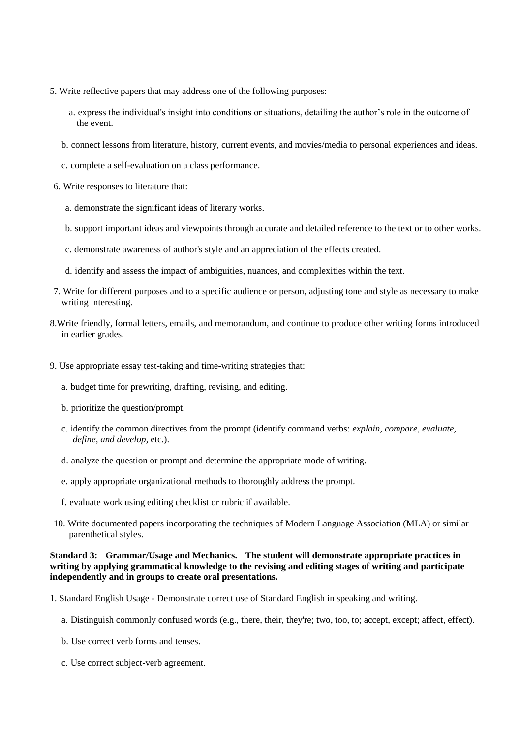- 5. Write reflective papers that may address one of the following purposes:
	- a. express the individual's insight into conditions or situations, detailing the author's role in the outcome of the event.
	- b. connect lessons from literature, history, current events, and movies/media to personal experiences and ideas.
	- c. complete a self-evaluation on a class performance.
- 6. Write responses to literature that:
	- a. demonstrate the significant ideas of literary works.
	- b. support important ideas and viewpoints through accurate and detailed reference to the text or to other works.
	- c. demonstrate awareness of author's style and an appreciation of the effects created.
	- d. identify and assess the impact of ambiguities, nuances, and complexities within the text.
- 7. Write for different purposes and to a specific audience or person, adjusting tone and style as necessary to make writing interesting.
- 8.Write friendly, formal letters, emails, and memorandum, and continue to produce other writing forms introduced in earlier grades.
- 9. Use appropriate essay test-taking and time-writing strategies that:
	- a. budget time for prewriting, drafting, revising, and editing.
	- b. prioritize the question/prompt.
	- c. identify the common directives from the prompt (identify command verbs: *explain, compare, evaluate, define, and develop*, etc.).
	- d. analyze the question or prompt and determine the appropriate mode of writing.
	- e. apply appropriate organizational methods to thoroughly address the prompt.
	- f. evaluate work using editing checklist or rubric if available.
- 10. Write documented papers incorporating the techniques of Modern Language Association (MLA) or similar parenthetical styles.

#### **Standard 3: Grammar/Usage and Mechanics. The student will demonstrate appropriate practices in writing by applying grammatical knowledge to the revising and editing stages of writing and participate independently and in groups to create oral presentations.**

- 1. Standard English Usage Demonstrate correct use of Standard English in speaking and writing.
	- a. Distinguish commonly confused words (e.g., there, their, they're; two, too, to; accept, except; affect, effect).
	- b. Use correct verb forms and tenses.
	- c. Use correct subject-verb agreement.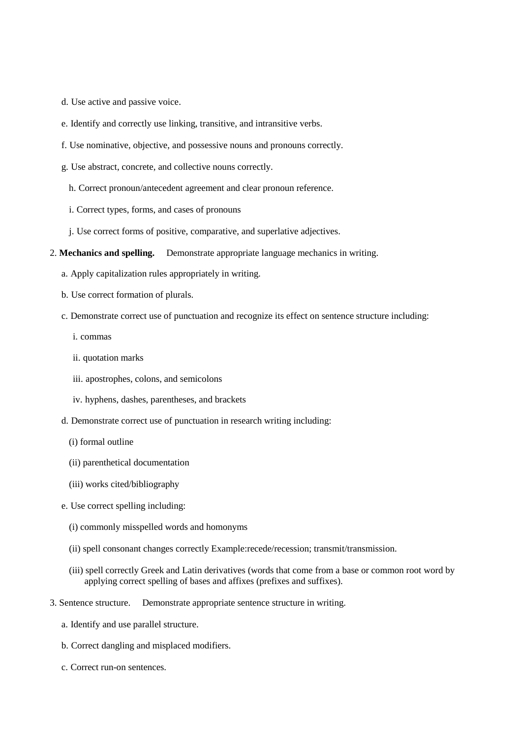- d. Use active and passive voice.
- e. Identify and correctly use linking, transitive, and intransitive verbs.
- f. Use nominative, objective, and possessive nouns and pronouns correctly.
- g. Use abstract, concrete, and collective nouns correctly.
	- h. Correct pronoun/antecedent agreement and clear pronoun reference.
	- i. Correct types, forms, and cases of pronouns
	- j. Use correct forms of positive, comparative, and superlative adjectives.
- 2. **Mechanics and spelling.** Demonstrate appropriate language mechanics in writing.
	- a. Apply capitalization rules appropriately in writing.
	- b. Use correct formation of plurals.
	- c. Demonstrate correct use of punctuation and recognize its effect on sentence structure including:
		- i. commas
		- ii. quotation marks
		- iii. apostrophes, colons, and semicolons
		- iv. hyphens, dashes, parentheses, and brackets
	- d. Demonstrate correct use of punctuation in research writing including:
		- (i) formal outline
		- (ii) parenthetical documentation
		- (iii) works cited/bibliography
	- e. Use correct spelling including:
		- (i) commonly misspelled words and homonyms
		- (ii) spell consonant changes correctly Example:recede/recession; transmit/transmission.
		- (iii) spell correctly Greek and Latin derivatives (words that come from a base or common root word by applying correct spelling of bases and affixes (prefixes and suffixes).
- 3. Sentence structure.Demonstrate appropriate sentence structure in writing.
	- a. Identify and use parallel structure.
	- b. Correct dangling and misplaced modifiers.
	- c. Correct run-on sentences.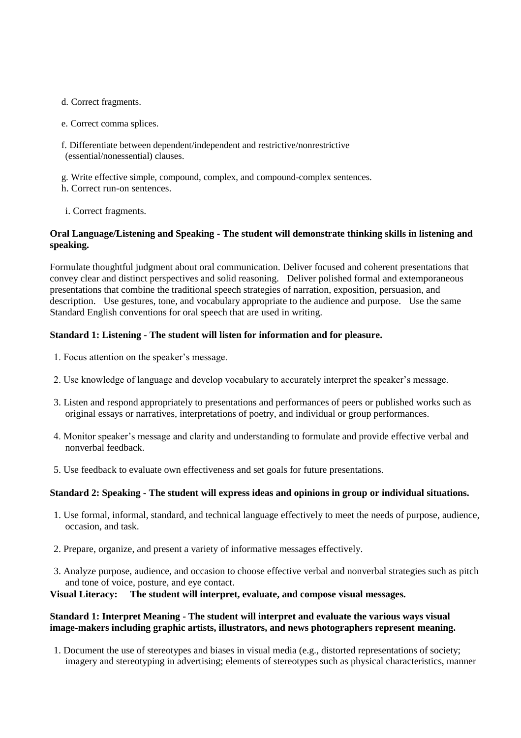- d. Correct fragments.
- e. Correct comma splices.
- f. Differentiate between dependent/independent and restrictive/nonrestrictive (essential/nonessential) clauses.
- g. Write effective simple, compound, complex, and compound-complex sentences.
- h. Correct run-on sentences.
- i. Correct fragments.

# **Oral Language/Listening and Speaking - The student will demonstrate thinking skills in listening and speaking.**

Formulate thoughtful judgment about oral communication. Deliver focused and coherent presentations that convey clear and distinct perspectives and solid reasoning. Deliver polished formal and extemporaneous presentations that combine the traditional speech strategies of narration, exposition, persuasion, and description. Use gestures, tone, and vocabulary appropriate to the audience and purpose. Use the same Standard English conventions for oral speech that are used in writing.

## **Standard 1: Listening - The student will listen for information and for pleasure.**

- 1. Focus attention on the speaker's message.
- 2. Use knowledge of language and develop vocabulary to accurately interpret the speaker's message.
- 3. Listen and respond appropriately to presentations and performances of peers or published works such as original essays or narratives, interpretations of poetry, and individual or group performances.
- 4. Monitor speaker's message and clarity and understanding to formulate and provide effective verbal and nonverbal feedback.
- 5. Use feedback to evaluate own effectiveness and set goals for future presentations.

### **Standard 2: Speaking - The student will express ideas and opinions in group or individual situations.**

- 1. Use formal, informal, standard, and technical language effectively to meet the needs of purpose, audience, occasion, and task.
- 2. Prepare, organize, and present a variety of informative messages effectively.
- 3. Analyze purpose, audience, and occasion to choose effective verbal and nonverbal strategies such as pitch and tone of voice, posture, and eye contact.

#### **Visual Literacy: The student will interpret, evaluate, and compose visual messages.**

## **Standard 1: Interpret Meaning - The student will interpret and evaluate the various ways visual image-makers including graphic artists, illustrators, and news photographers represent meaning.**

1. Document the use of stereotypes and biases in visual media (e.g., distorted representations of society; imagery and stereotyping in advertising; elements of stereotypes such as physical characteristics, manner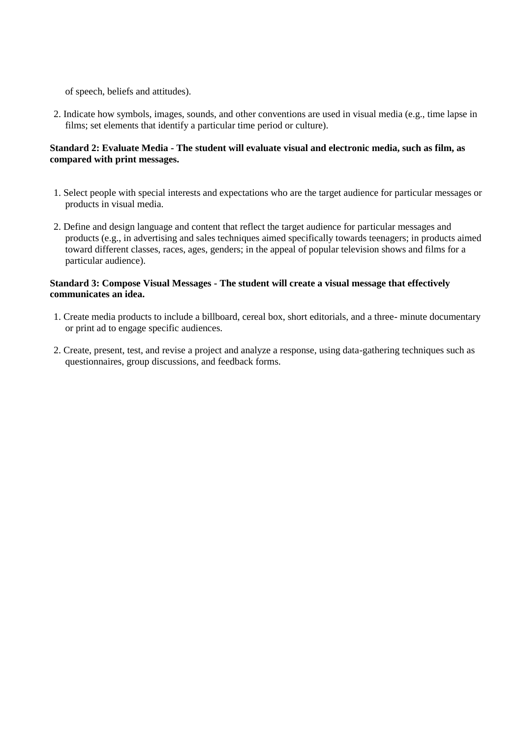of speech, beliefs and attitudes).

2. Indicate how symbols, images, sounds, and other conventions are used in visual media (e.g., time lapse in films; set elements that identify a particular time period or culture).

# **Standard 2: Evaluate Media - The student will evaluate visual and electronic media, such as film, as compared with print messages.**

- 1. Select people with special interests and expectations who are the target audience for particular messages or products in visual media.
- 2. Define and design language and content that reflect the target audience for particular messages and products (e.g., in advertising and sales techniques aimed specifically towards teenagers; in products aimed toward different classes, races, ages, genders; in the appeal of popular television shows and films for a particular audience).

## **Standard 3: Compose Visual Messages - The student will create a visual message that effectively communicates an idea.**

- 1. Create media products to include a billboard, cereal box, short editorials, and a three- minute documentary or print ad to engage specific audiences.
- 2. Create, present, test, and revise a project and analyze a response, using data-gathering techniques such as questionnaires, group discussions, and feedback forms.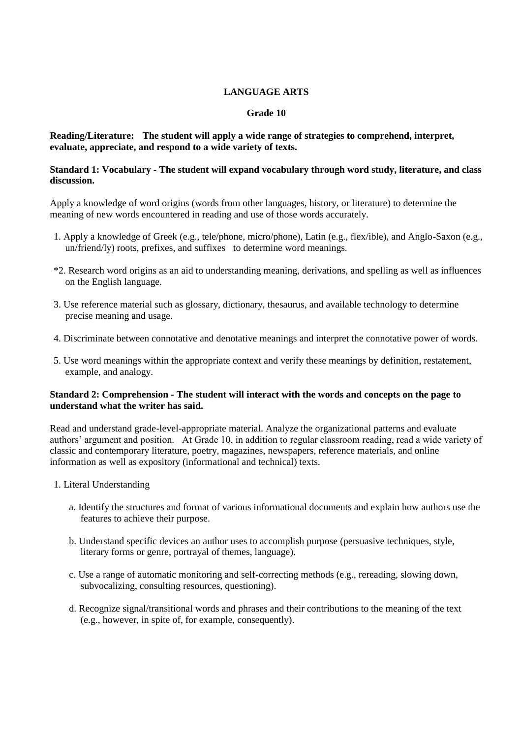# **LANGUAGE ARTS**

## **Grade 10**

## **Reading/Literature: The student will apply a wide range of strategies to comprehend, interpret, evaluate, appreciate, and respond to a wide variety of texts.**

### **Standard 1: Vocabulary - The student will expand vocabulary through word study, literature, and class discussion.**

Apply a knowledge of word origins (words from other languages, history, or literature) to determine the meaning of new words encountered in reading and use of those words accurately.

- 1. Apply a knowledge of Greek (e.g., tele/phone, micro/phone), Latin (e.g., flex/ible), and Anglo-Saxon (e.g., un/friend/ly) roots, prefixes, and suffixes to determine word meanings.
- \*2. Research word origins as an aid to understanding meaning, derivations, and spelling as well as influences on the English language.
- 3. Use reference material such as glossary, dictionary, thesaurus, and available technology to determine precise meaning and usage.
- 4. Discriminate between connotative and denotative meanings and interpret the connotative power of words.
- 5. Use word meanings within the appropriate context and verify these meanings by definition, restatement, example, and analogy.

## **Standard 2: Comprehension - The student will interact with the words and concepts on the page to understand what the writer has said.**

Read and understand grade-level-appropriate material. Analyze the organizational patterns and evaluate authors' argument and position. At Grade 10, in addition to regular classroom reading, read a wide variety of classic and contemporary literature, poetry, magazines, newspapers, reference materials, and online information as well as expository (informational and technical) texts.

- 1. Literal Understanding
	- a. Identify the structures and format of various informational documents and explain how authors use the features to achieve their purpose.
	- b. Understand specific devices an author uses to accomplish purpose (persuasive techniques, style, literary forms or genre, portrayal of themes, language).
	- c. Use a range of automatic monitoring and self-correcting methods (e.g., rereading, slowing down, subvocalizing, consulting resources, questioning).
	- d. Recognize signal/transitional words and phrases and their contributions to the meaning of the text (e.g., however, in spite of, for example, consequently).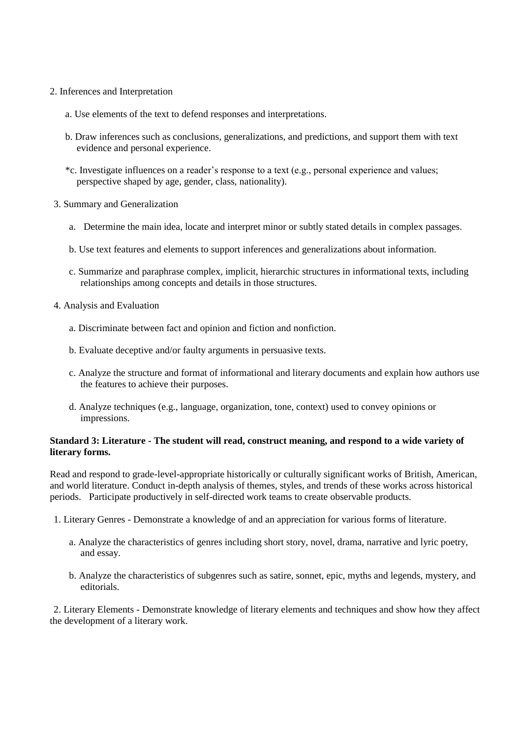- 2. Inferences and Interpretation
	- a. Use elements of the text to defend responses and interpretations.
	- b. Draw inferences such as conclusions, generalizations, and predictions, and support them with text evidence and personal experience.
	- \*c. Investigate influences on a reader's response to a text (e.g., personal experience and values; perspective shaped by age, gender, class, nationality).
- 3. Summary and Generalization
	- a. Determine the main idea, locate and interpret minor or subtly stated details in complex passages.
	- b. Use text features and elements to support inferences and generalizations about information.
	- c. Summarize and paraphrase complex, implicit, hierarchic structures in informational texts, including relationships among concepts and details in those structures.
- 4. Analysis and Evaluation
	- a. Discriminate between fact and opinion and fiction and nonfiction.
	- b. Evaluate deceptive and/or faulty arguments in persuasive texts.
	- c. Analyze the structure and format of informational and literary documents and explain how authors use the features to achieve their purposes.
	- d. Analyze techniques (e.g., language, organization, tone, context) used to convey opinions or impressions.

### **Standard 3: Literature - The student will read, construct meaning, and respond to a wide variety of literary forms.**

Read and respond to grade-level-appropriate historically or culturally significant works of British, American, and world literature. Conduct in-depth analysis of themes, styles, and trends of these works across historical periods. Participate productively in self-directed work teams to create observable products.

- 1. Literary Genres Demonstrate a knowledge of and an appreciation for various forms of literature.
	- a. Analyze the characteristics of genres including short story, novel, drama, narrative and lyric poetry, and essay.
	- b. Analyze the characteristics of subgenres such as satire, sonnet, epic, myths and legends, mystery, and editorials.

2. Literary Elements - Demonstrate knowledge of literary elements and techniques and show how they affect the development of a literary work.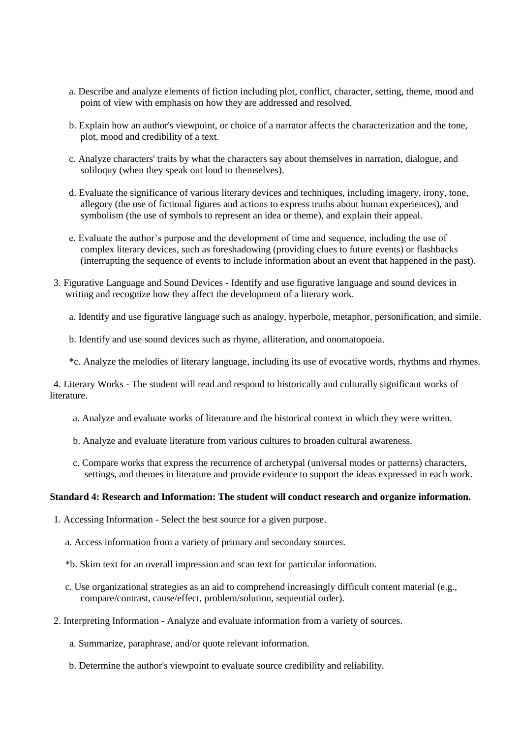- a. Describe and analyze elements of fiction including plot, conflict, character, setting, theme, mood and point of view with emphasis on how they are addressed and resolved.
- b. Explain how an author's viewpoint, or choice of a narrator affects the characterization and the tone, plot, mood and credibility of a text.
- c. Analyze characters' traits by what the characters say about themselves in narration, dialogue, and soliloquy (when they speak out loud to themselves).
- d. Evaluate the significance of various literary devices and techniques, including imagery, irony, tone, allegory (the use of fictional figures and actions to express truths about human experiences), and symbolism (the use of symbols to represent an idea or theme), and explain their appeal.
- e. Evaluate the author's purpose and the development of time and sequence, including the use of complex literary devices, such as foreshadowing (providing clues to future events) or flashbacks (interrupting the sequence of events to include information about an event that happened in the past).
- 3. Figurative Language and Sound Devices Identify and use figurative language and sound devices in writing and recognize how they affect the development of a literary work.
	- a. Identify and use figurative language such as analogy, hyperbole, metaphor, personification, and simile.
	- b. Identify and use sound devices such as rhyme, alliteration, and onomatopoeia.
	- \*c. Analyze the melodies of literary language, including its use of evocative words, rhythms and rhymes.

4. Literary Works - The student will read and respond to historically and culturally significant works of literature.

- a. Analyze and evaluate works of literature and the historical context in which they were written.
- b. Analyze and evaluate literature from various cultures to broaden cultural awareness.
- c. Compare works that express the recurrence of archetypal (universal modes or patterns) characters, settings, and themes in literature and provide evidence to support the ideas expressed in each work.

#### **Standard 4: Research and Information: The student will conduct research and organize information.**

- 1. Accessing Information Select the best source for a given purpose.
	- a. Access information from a variety of primary and secondary sources.
	- \*b. Skim text for an overall impression and scan text for particular information.
	- c. Use organizational strategies as an aid to comprehend increasingly difficult content material (e.g., compare/contrast, cause/effect, problem/solution, sequential order).
- 2. Interpreting Information Analyze and evaluate information from a variety of sources.
	- a. Summarize, paraphrase, and/or quote relevant information.
	- b. Determine the author's viewpoint to evaluate source credibility and reliability.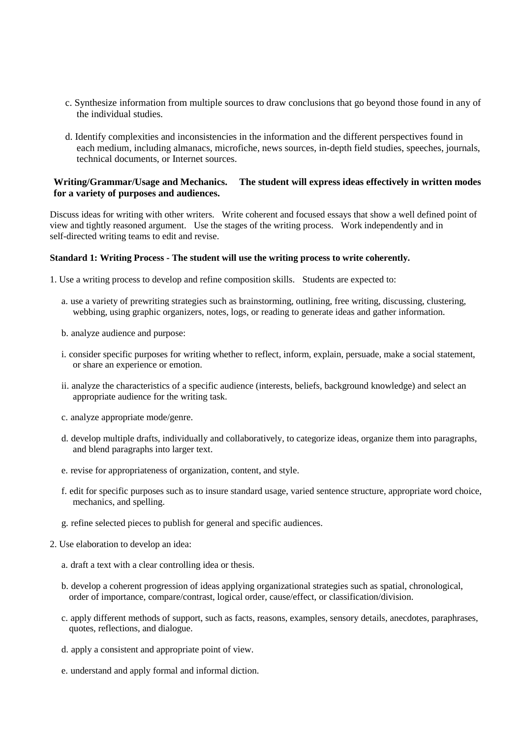- c. Synthesize information from multiple sources to draw conclusions that go beyond those found in any of the individual studies.
- d. Identify complexities and inconsistencies in the information and the different perspectives found in each medium, including almanacs, microfiche, news sources, in-depth field studies, speeches, journals, technical documents, or Internet sources.

### **Writing/Grammar/Usage and Mechanics. The student will express ideas effectively in written modes for a variety of purposes and audiences.**

Discuss ideas for writing with other writers. Write coherent and focused essays that show a well defined point of view and tightly reasoned argument. Use the stages of the writing process. Work independently and in self-directed writing teams to edit and revise.

### **Standard 1: Writing Process - The student will use the writing process to write coherently.**

1. Use a writing process to develop and refine composition skills. Students are expected to:

- a. use a variety of prewriting strategies such as brainstorming, outlining, free writing, discussing, clustering, webbing, using graphic organizers, notes, logs, or reading to generate ideas and gather information.
- b. analyze audience and purpose:
- i. consider specific purposes for writing whether to reflect, inform, explain, persuade, make a social statement, or share an experience or emotion.
- ii. analyze the characteristics of a specific audience (interests, beliefs, background knowledge) and select an appropriate audience for the writing task.
- c. analyze appropriate mode/genre.
- d. develop multiple drafts, individually and collaboratively, to categorize ideas, organize them into paragraphs, and blend paragraphs into larger text.
- e. revise for appropriateness of organization, content, and style.
- f. edit for specific purposes such as to insure standard usage, varied sentence structure, appropriate word choice, mechanics, and spelling.
- g. refine selected pieces to publish for general and specific audiences.
- 2. Use elaboration to develop an idea:
	- a. draft a text with a clear controlling idea or thesis.
	- b. develop a coherent progression of ideas applying organizational strategies such as spatial, chronological, order of importance, compare/contrast, logical order, cause/effect, or classification/division.
	- c. apply different methods of support, such as facts, reasons, examples, sensory details, anecdotes, paraphrases, quotes, reflections, and dialogue.
	- d. apply a consistent and appropriate point of view.
	- e. understand and apply formal and informal diction.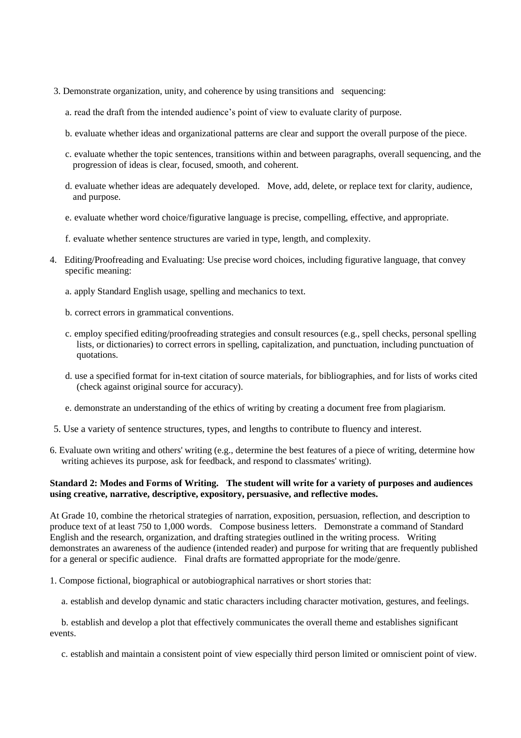- 3. Demonstrate organization, unity, and coherence by using transitions and sequencing:
	- a. read the draft from the intended audience's point of view to evaluate clarity of purpose.
	- b. evaluate whether ideas and organizational patterns are clear and support the overall purpose of the piece.
	- c. evaluate whether the topic sentences, transitions within and between paragraphs, overall sequencing, and the progression of ideas is clear, focused, smooth, and coherent.
	- d. evaluate whether ideas are adequately developed. Move, add, delete, or replace text for clarity, audience, and purpose.
	- e. evaluate whether word choice/figurative language is precise, compelling, effective, and appropriate.
	- f. evaluate whether sentence structures are varied in type, length, and complexity.
- 4. Editing/Proofreading and Evaluating: Use precise word choices, including figurative language, that convey specific meaning:
	- a. apply Standard English usage, spelling and mechanics to text.
	- b. correct errors in grammatical conventions.
	- c. employ specified editing/proofreading strategies and consult resources (e.g., spell checks, personal spelling lists, or dictionaries) to correct errors in spelling, capitalization, and punctuation, including punctuation of quotations.
	- d. use a specified format for in-text citation of source materials, for bibliographies, and for lists of works cited (check against original source for accuracy).
	- e. demonstrate an understanding of the ethics of writing by creating a document free from plagiarism.
- 5. Use a variety of sentence structures, types, and lengths to contribute to fluency and interest.
- 6. Evaluate own writing and others' writing (e.g., determine the best features of a piece of writing, determine how writing achieves its purpose, ask for feedback, and respond to classmates' writing).

### **Standard 2: Modes and Forms of Writing. The student will write for a variety of purposes and audiences using creative, narrative, descriptive, expository, persuasive, and reflective modes.**

At Grade 10, combine the rhetorical strategies of narration, exposition, persuasion, reflection, and description to produce text of at least 750 to 1,000 words. Compose business letters. Demonstrate a command of Standard English and the research, organization, and drafting strategies outlined in the writing process. Writing demonstrates an awareness of the audience (intended reader) and purpose for writing that are frequently published for a general or specific audience. Final drafts are formatted appropriate for the mode/genre.

1. Compose fictional, biographical or autobiographical narratives or short stories that:

a. establish and develop dynamic and static characters including character motivation, gestures, and feelings.

b. establish and develop a plot that effectively communicates the overall theme and establishes significant events.

c. establish and maintain a consistent point of view especially third person limited or omniscient point of view.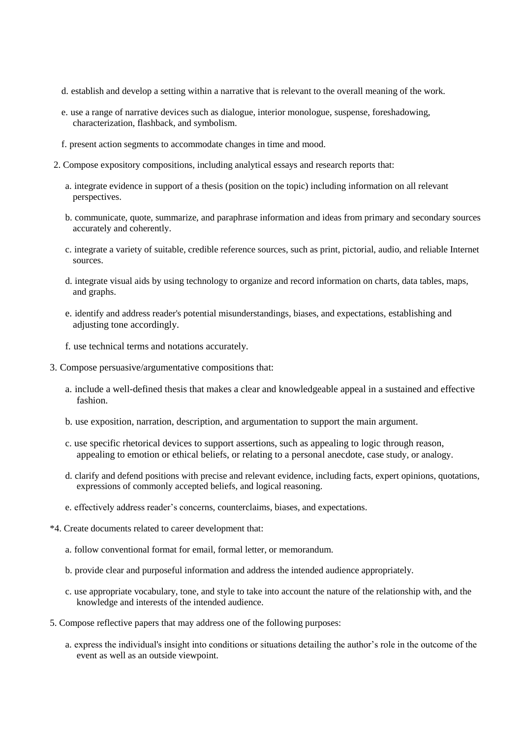- d. establish and develop a setting within a narrative that is relevant to the overall meaning of the work.
- e. use a range of narrative devices such as dialogue, interior monologue, suspense, foreshadowing, characterization, flashback, and symbolism.
- f. present action segments to accommodate changes in time and mood.
- 2. Compose expository compositions, including analytical essays and research reports that:
	- a. integrate evidence in support of a thesis (position on the topic) including information on all relevant perspectives.
	- b. communicate, quote, summarize, and paraphrase information and ideas from primary and secondary sources accurately and coherently.
	- c. integrate a variety of suitable, credible reference sources, such as print, pictorial, audio, and reliable Internet sources.
	- d. integrate visual aids by using technology to organize and record information on charts, data tables, maps, and graphs.
	- e. identify and address reader's potential misunderstandings, biases, and expectations, establishing and adjusting tone accordingly.
	- f. use technical terms and notations accurately.
- 3. Compose persuasive/argumentative compositions that:
	- a. include a well-defined thesis that makes a clear and knowledgeable appeal in a sustained and effective fashion.
	- b. use exposition, narration, description, and argumentation to support the main argument.
	- c. use specific rhetorical devices to support assertions, such as appealing to logic through reason, appealing to emotion or ethical beliefs, or relating to a personal anecdote, case study, or analogy.
	- d. clarify and defend positions with precise and relevant evidence, including facts, expert opinions, quotations, expressions of commonly accepted beliefs, and logical reasoning.
	- e. effectively address reader's concerns, counterclaims, biases, and expectations.
- \*4. Create documents related to career development that:
	- a. follow conventional format for email, formal letter, or memorandum.
	- b. provide clear and purposeful information and address the intended audience appropriately.
	- c. use appropriate vocabulary, tone, and style to take into account the nature of the relationship with, and the knowledge and interests of the intended audience.
- 5. Compose reflective papers that may address one of the following purposes:
	- a. express the individual's insight into conditions or situations detailing the author's role in the outcome of the event as well as an outside viewpoint.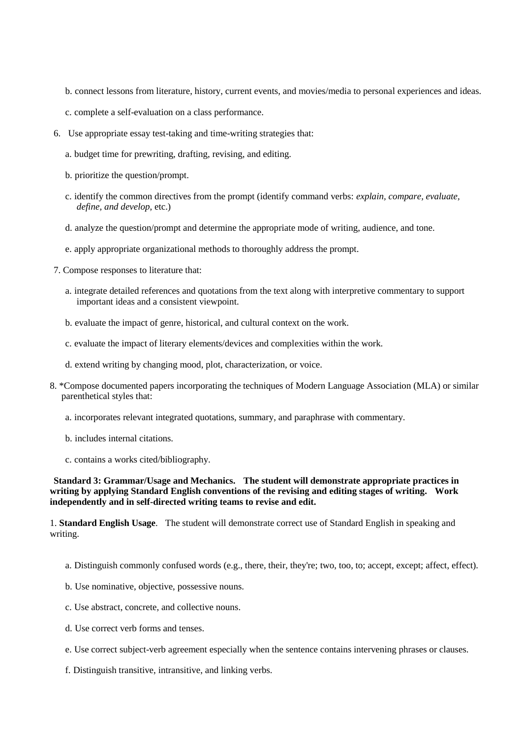- b. connect lessons from literature, history, current events, and movies/media to personal experiences and ideas.
- c. complete a self-evaluation on a class performance.
- 6. Use appropriate essay test-taking and time-writing strategies that:
	- a. budget time for prewriting, drafting, revising, and editing.
	- b. prioritize the question/prompt.
	- c. identify the common directives from the prompt (identify command verbs: *explain, compare, evaluate, define, and develop*, etc.)
	- d. analyze the question/prompt and determine the appropriate mode of writing, audience, and tone.
	- e. apply appropriate organizational methods to thoroughly address the prompt.
- 7. Compose responses to literature that:
	- a. integrate detailed references and quotations from the text along with interpretive commentary to support important ideas and a consistent viewpoint.
	- b. evaluate the impact of genre, historical, and cultural context on the work.
	- c. evaluate the impact of literary elements/devices and complexities within the work.
	- d. extend writing by changing mood, plot, characterization, or voice.
- 8. \*Compose documented papers incorporating the techniques of Modern Language Association (MLA) or similar parenthetical styles that:
	- a. incorporates relevant integrated quotations, summary, and paraphrase with commentary.
	- b. includes internal citations.
	- c. contains a works cited/bibliography.

**Standard 3: Grammar/Usage and Mechanics. The student will demonstrate appropriate practices in writing by applying Standard English conventions of the revising and editing stages of writing. Work independently and in self-directed writing teams to revise and edit.** 

1. **Standard English Usage**. The student will demonstrate correct use of Standard English in speaking and writing.

- a. Distinguish commonly confused words (e.g., there, their, they're; two, too, to; accept, except; affect, effect).
- b. Use nominative, objective, possessive nouns.
- c. Use abstract, concrete, and collective nouns.
- d. Use correct verb forms and tenses.
- e. Use correct subject-verb agreement especially when the sentence contains intervening phrases or clauses.
- f. Distinguish transitive, intransitive, and linking verbs.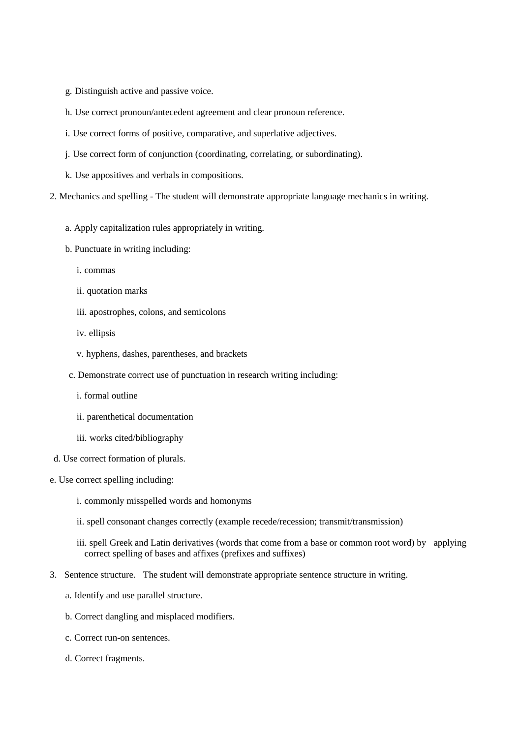- g. Distinguish active and passive voice.
- h. Use correct pronoun/antecedent agreement and clear pronoun reference.
- i. Use correct forms of positive, comparative, and superlative adjectives.
- j. Use correct form of conjunction (coordinating, correlating, or subordinating).
- k. Use appositives and verbals in compositions.
- 2. Mechanics and spelling The student will demonstrate appropriate language mechanics in writing.
	- a. Apply capitalization rules appropriately in writing.
	- b. Punctuate in writing including:
		- i. commas
		- ii. quotation marks
		- iii. apostrophes, colons, and semicolons
		- iv. ellipsis
		- v. hyphens, dashes, parentheses, and brackets
	- c. Demonstrate correct use of punctuation in research writing including:
		- i. formal outline
		- ii. parenthetical documentation
		- iii. works cited/bibliography
- d. Use correct formation of plurals.
- e. Use correct spelling including:
	- i. commonly misspelled words and homonyms
	- ii. spell consonant changes correctly (example recede/recession; transmit/transmission)
	- iii. spell Greek and Latin derivatives (words that come from a base or common root word) by applying correct spelling of bases and affixes (prefixes and suffixes)
- 3. Sentence structure. The student will demonstrate appropriate sentence structure in writing.
	- a. Identify and use parallel structure.
	- b. Correct dangling and misplaced modifiers.
	- c. Correct run-on sentences.
	- d. Correct fragments.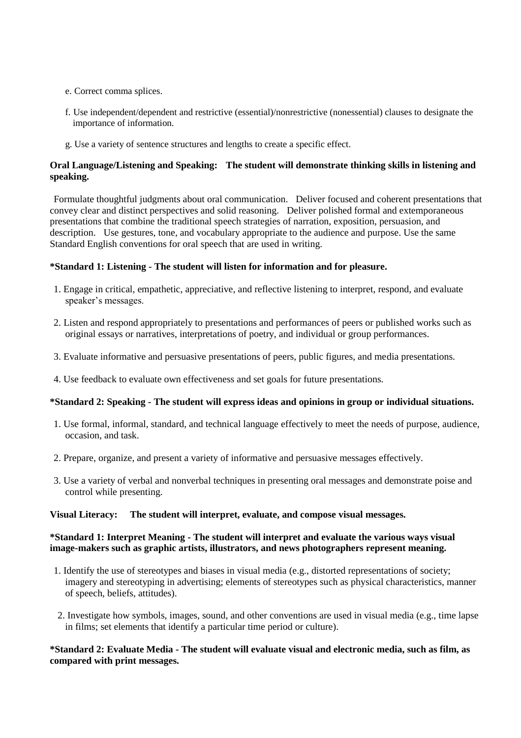- e. Correct comma splices.
- f. Use independent/dependent and restrictive (essential)/nonrestrictive (nonessential) clauses to designate the importance of information.
- g. Use a variety of sentence structures and lengths to create a specific effect.

# **Oral Language/Listening and Speaking: The student will demonstrate thinking skills in listening and speaking.**

Formulate thoughtful judgments about oral communication. Deliver focused and coherent presentations that convey clear and distinct perspectives and solid reasoning. Deliver polished formal and extemporaneous presentations that combine the traditional speech strategies of narration, exposition, persuasion, and description. Use gestures, tone, and vocabulary appropriate to the audience and purpose. Use the same Standard English conventions for oral speech that are used in writing.

# **\*Standard 1: Listening - The student will listen for information and for pleasure.**

- 1. Engage in critical, empathetic, appreciative, and reflective listening to interpret, respond, and evaluate speaker's messages.
- 2. Listen and respond appropriately to presentations and performances of peers or published works such as original essays or narratives, interpretations of poetry, and individual or group performances.
- 3. Evaluate informative and persuasive presentations of peers, public figures, and media presentations.
- 4. Use feedback to evaluate own effectiveness and set goals for future presentations.

# **\*Standard 2: Speaking - The student will express ideas and opinions in group or individual situations.**

- 1. Use formal, informal, standard, and technical language effectively to meet the needs of purpose, audience, occasion, and task.
- 2. Prepare, organize, and present a variety of informative and persuasive messages effectively.
- 3. Use a variety of verbal and nonverbal techniques in presenting oral messages and demonstrate poise and control while presenting.

### **Visual Literacy: The student will interpret, evaluate, and compose visual messages.**

## **\*Standard 1: Interpret Meaning - The student will interpret and evaluate the various ways visual image-makers such as graphic artists, illustrators, and news photographers represent meaning.**

- 1. Identify the use of stereotypes and biases in visual media (e.g., distorted representations of society; imagery and stereotyping in advertising; elements of stereotypes such as physical characteristics, manner of speech, beliefs, attitudes).
- 2. Investigate how symbols, images, sound, and other conventions are used in visual media (e.g., time lapse in films; set elements that identify a particular time period or culture).

## **\*Standard 2: Evaluate Media - The student will evaluate visual and electronic media, such as film, as compared with print messages.**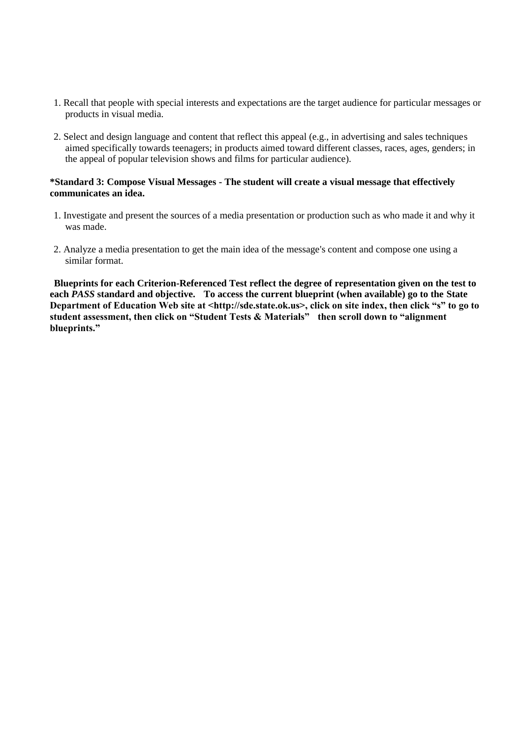- 1. Recall that people with special interests and expectations are the target audience for particular messages or products in visual media.
- 2. Select and design language and content that reflect this appeal (e.g., in advertising and sales techniques aimed specifically towards teenagers; in products aimed toward different classes, races, ages, genders; in the appeal of popular television shows and films for particular audience).

## **\*Standard 3: Compose Visual Messages - The student will create a visual message that effectively communicates an idea.**

- 1. Investigate and present the sources of a media presentation or production such as who made it and why it was made.
- 2. Analyze a media presentation to get the main idea of the message's content and compose one using a similar format.

**Blueprints for each Criterion-Referenced Test reflect the degree of representation given on the test to each** *PASS* **standard and objective. To access the current blueprint (when available) go to the State Department of Education Web site at <http://sde.state.ok.us>, click on site index, then click "s" to go to student assessment, then click on "Student Tests & Materials" then scroll down to "alignment blueprints."**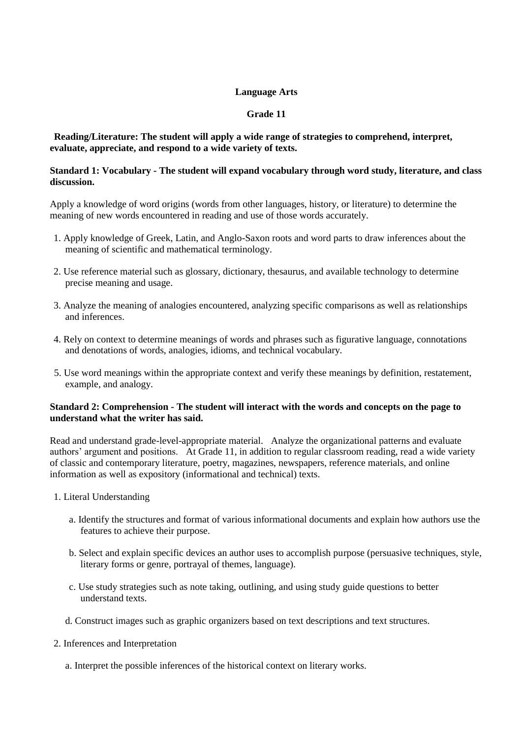### **Language Arts**

## **Grade 11**

**Reading/Literature: The student will apply a wide range of strategies to comprehend, interpret, evaluate, appreciate, and respond to a wide variety of texts.** 

## **Standard 1: Vocabulary - The student will expand vocabulary through word study, literature, and class discussion.**

Apply a knowledge of word origins (words from other languages, history, or literature) to determine the meaning of new words encountered in reading and use of those words accurately.

- 1. Apply knowledge of Greek, Latin, and Anglo-Saxon roots and word parts to draw inferences about the meaning of scientific and mathematical terminology.
- 2. Use reference material such as glossary, dictionary, thesaurus, and available technology to determine precise meaning and usage.
- 3. Analyze the meaning of analogies encountered, analyzing specific comparisons as well as relationships and inferences.
- 4. Rely on context to determine meanings of words and phrases such as figurative language, connotations and denotations of words, analogies, idioms, and technical vocabulary.
- 5. Use word meanings within the appropriate context and verify these meanings by definition, restatement, example, and analogy.

## **Standard 2: Comprehension - The student will interact with the words and concepts on the page to understand what the writer has said.**

Read and understand grade-level-appropriate material. Analyze the organizational patterns and evaluate authors' argument and positions. At Grade 11, in addition to regular classroom reading, read a wide variety of classic and contemporary literature, poetry, magazines, newspapers, reference materials, and online information as well as expository (informational and technical) texts.

- 1. Literal Understanding
	- a. Identify the structures and format of various informational documents and explain how authors use the features to achieve their purpose.
	- b. Select and explain specific devices an author uses to accomplish purpose (persuasive techniques, style, literary forms or genre, portrayal of themes, language).
	- c. Use study strategies such as note taking, outlining, and using study guide questions to better understand texts.
	- d. Construct images such as graphic organizers based on text descriptions and text structures.
- 2. Inferences and Interpretation
	- a. Interpret the possible inferences of the historical context on literary works.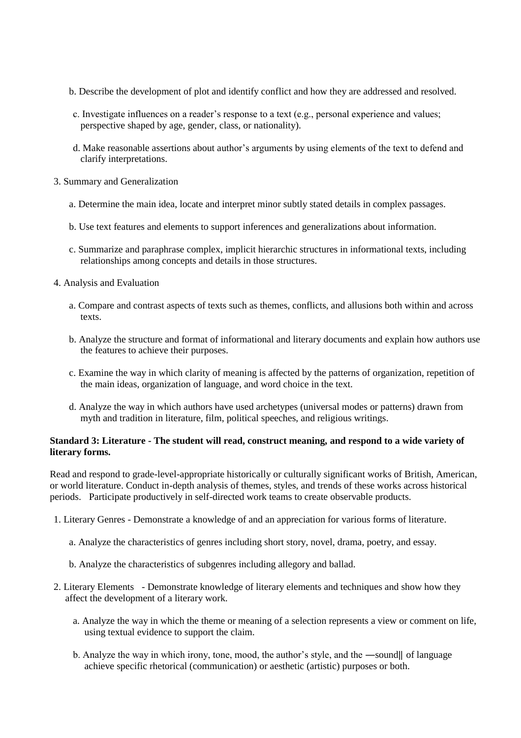- b. Describe the development of plot and identify conflict and how they are addressed and resolved.
- c. Investigate influences on a reader's response to a text (e.g., personal experience and values; perspective shaped by age, gender, class, or nationality).
- d. Make reasonable assertions about author's arguments by using elements of the text to defend and clarify interpretations.
- 3. Summary and Generalization
	- a. Determine the main idea, locate and interpret minor subtly stated details in complex passages.
	- b. Use text features and elements to support inferences and generalizations about information.
	- c. Summarize and paraphrase complex, implicit hierarchic structures in informational texts, including relationships among concepts and details in those structures.
- 4. Analysis and Evaluation
	- a. Compare and contrast aspects of texts such as themes, conflicts, and allusions both within and across texts.
	- b. Analyze the structure and format of informational and literary documents and explain how authors use the features to achieve their purposes.
	- c. Examine the way in which clarity of meaning is affected by the patterns of organization, repetition of the main ideas, organization of language, and word choice in the text.
	- d. Analyze the way in which authors have used archetypes (universal modes or patterns) drawn from myth and tradition in literature, film, political speeches, and religious writings.

## **Standard 3: Literature - The student will read, construct meaning, and respond to a wide variety of literary forms.**

Read and respond to grade-level-appropriate historically or culturally significant works of British, American, or world literature. Conduct in-depth analysis of themes, styles, and trends of these works across historical periods. Participate productively in self-directed work teams to create observable products.

- 1. Literary Genres Demonstrate a knowledge of and an appreciation for various forms of literature.
	- a. Analyze the characteristics of genres including short story, novel, drama, poetry, and essay.
	- b. Analyze the characteristics of subgenres including allegory and ballad.
- 2. Literary Elements Demonstrate knowledge of literary elements and techniques and show how they affect the development of a literary work.
	- a. Analyze the way in which the theme or meaning of a selection represents a view or comment on life, using textual evidence to support the claim.
	- b. Analyze the way in which irony, tone, mood, the author's style, and the ―sound‖ of language achieve specific rhetorical (communication) or aesthetic (artistic) purposes or both.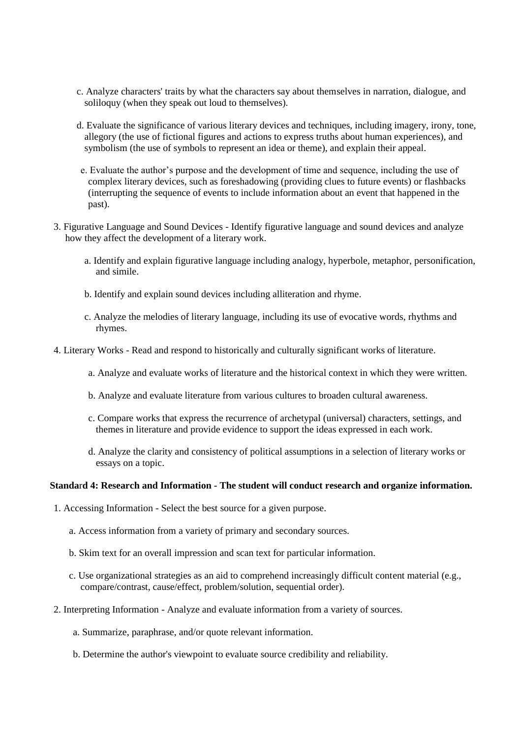- c. Analyze characters' traits by what the characters say about themselves in narration, dialogue, and soliloquy (when they speak out loud to themselves).
- d. Evaluate the significance of various literary devices and techniques, including imagery, irony, tone, allegory (the use of fictional figures and actions to express truths about human experiences), and symbolism (the use of symbols to represent an idea or theme), and explain their appeal.
- e. Evaluate the author's purpose and the development of time and sequence, including the use of complex literary devices, such as foreshadowing (providing clues to future events) or flashbacks (interrupting the sequence of events to include information about an event that happened in the past).
- 3. Figurative Language and Sound Devices Identify figurative language and sound devices and analyze how they affect the development of a literary work.
	- a. Identify and explain figurative language including analogy, hyperbole, metaphor, personification, and simile.
	- b. Identify and explain sound devices including alliteration and rhyme.
	- c. Analyze the melodies of literary language, including its use of evocative words, rhythms and rhymes.
- 4. Literary Works Read and respond to historically and culturally significant works of literature.
	- a. Analyze and evaluate works of literature and the historical context in which they were written.
	- b. Analyze and evaluate literature from various cultures to broaden cultural awareness.
	- c. Compare works that express the recurrence of archetypal (universal) characters, settings, and themes in literature and provide evidence to support the ideas expressed in each work.
	- d. Analyze the clarity and consistency of political assumptions in a selection of literary works or essays on a topic.

#### **Standa**r**d 4: Research and Information - The student will conduct research and organize information.**

- 1. Accessing Information Select the best source for a given purpose.
	- a. Access information from a variety of primary and secondary sources.
	- b. Skim text for an overall impression and scan text for particular information.
	- c. Use organizational strategies as an aid to comprehend increasingly difficult content material (e.g., compare/contrast, cause/effect, problem/solution, sequential order).
- 2. Interpreting Information Analyze and evaluate information from a variety of sources.
	- a. Summarize, paraphrase, and/or quote relevant information.
	- b. Determine the author's viewpoint to evaluate source credibility and reliability.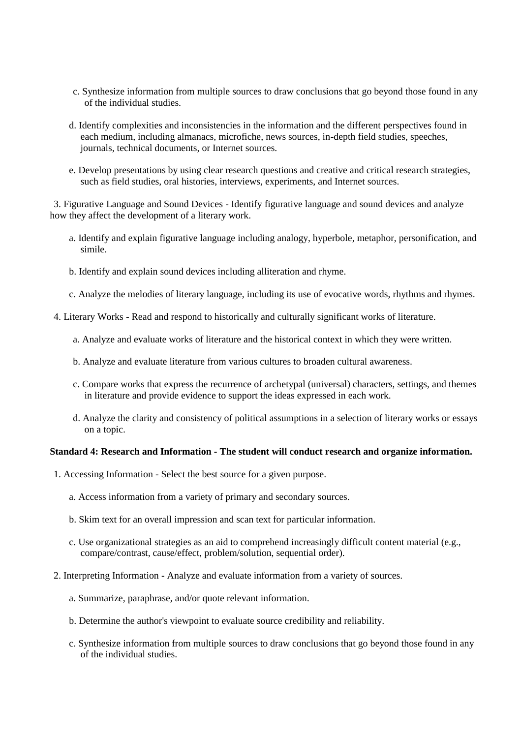- c. Synthesize information from multiple sources to draw conclusions that go beyond those found in any of the individual studies.
- d. Identify complexities and inconsistencies in the information and the different perspectives found in each medium, including almanacs, microfiche, news sources, in-depth field studies, speeches, journals, technical documents, or Internet sources.
- e. Develop presentations by using clear research questions and creative and critical research strategies, such as field studies, oral histories, interviews, experiments, and Internet sources.

3. Figurative Language and Sound Devices - Identify figurative language and sound devices and analyze how they affect the development of a literary work.

- a. Identify and explain figurative language including analogy, hyperbole, metaphor, personification, and simile.
- b. Identify and explain sound devices including alliteration and rhyme.
- c. Analyze the melodies of literary language, including its use of evocative words, rhythms and rhymes.
- 4. Literary Works Read and respond to historically and culturally significant works of literature.
	- a. Analyze and evaluate works of literature and the historical context in which they were written.
	- b. Analyze and evaluate literature from various cultures to broaden cultural awareness.
	- c. Compare works that express the recurrence of archetypal (universal) characters, settings, and themes in literature and provide evidence to support the ideas expressed in each work.
	- d. Analyze the clarity and consistency of political assumptions in a selection of literary works or essays on a topic.

#### **Standa**r**d 4: Research and Information - The student will conduct research and organize information.**

- 1. Accessing Information Select the best source for a given purpose.
	- a. Access information from a variety of primary and secondary sources.
	- b. Skim text for an overall impression and scan text for particular information.
	- c. Use organizational strategies as an aid to comprehend increasingly difficult content material (e.g., compare/contrast, cause/effect, problem/solution, sequential order).
- 2. Interpreting Information Analyze and evaluate information from a variety of sources.
	- a. Summarize, paraphrase, and/or quote relevant information.
	- b. Determine the author's viewpoint to evaluate source credibility and reliability.
	- c. Synthesize information from multiple sources to draw conclusions that go beyond those found in any of the individual studies.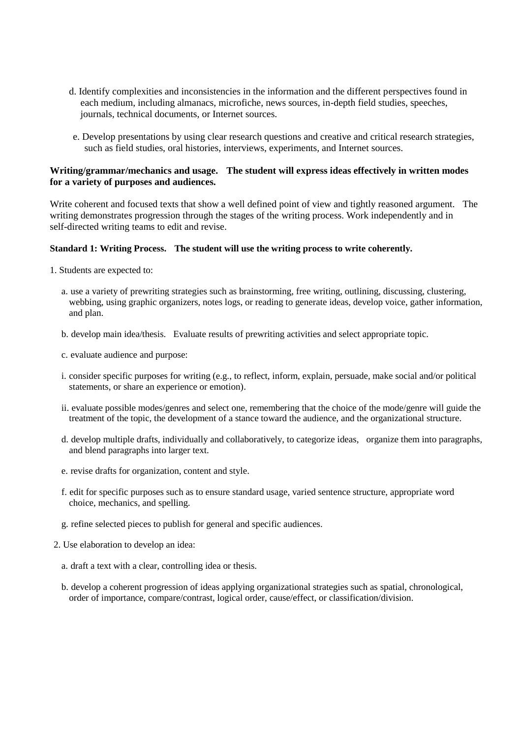- d. Identify complexities and inconsistencies in the information and the different perspectives found in each medium, including almanacs, microfiche, news sources, in-depth field studies, speeches, journals, technical documents, or Internet sources.
- e. Develop presentations by using clear research questions and creative and critical research strategies, such as field studies, oral histories, interviews, experiments, and Internet sources.

## **Writing/grammar/mechanics and usage. The student will express ideas effectively in written modes for a variety of purposes and audiences.**

Write coherent and focused texts that show a well defined point of view and tightly reasoned argument. The writing demonstrates progression through the stages of the writing process. Work independently and in self-directed writing teams to edit and revise.

### **Standard 1: Writing Process. The student will use the writing process to write coherently.**

- 1. Students are expected to:
	- a. use a variety of prewriting strategies such as brainstorming, free writing, outlining, discussing, clustering, webbing, using graphic organizers, notes logs, or reading to generate ideas, develop voice, gather information, and plan.
	- b. develop main idea/thesis. Evaluate results of prewriting activities and select appropriate topic.
	- c. evaluate audience and purpose:
	- i. consider specific purposes for writing (e.g., to reflect, inform, explain, persuade, make social and/or political statements, or share an experience or emotion).
	- ii. evaluate possible modes/genres and select one, remembering that the choice of the mode/genre will guide the treatment of the topic, the development of a stance toward the audience, and the organizational structure.
	- d. develop multiple drafts, individually and collaboratively, to categorize ideas, organize them into paragraphs, and blend paragraphs into larger text.
	- e. revise drafts for organization, content and style.
	- f. edit for specific purposes such as to ensure standard usage, varied sentence structure, appropriate word choice, mechanics, and spelling.
	- g. refine selected pieces to publish for general and specific audiences.
- 2. Use elaboration to develop an idea:
	- a. draft a text with a clear, controlling idea or thesis.
	- b. develop a coherent progression of ideas applying organizational strategies such as spatial, chronological, order of importance, compare/contrast, logical order, cause/effect, or classification/division.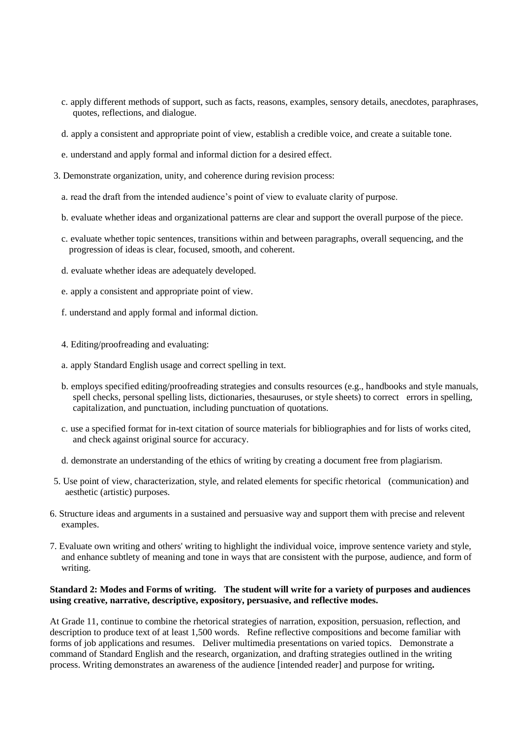- c. apply different methods of support, such as facts, reasons, examples, sensory details, anecdotes, paraphrases, quotes, reflections, and dialogue.
- d. apply a consistent and appropriate point of view, establish a credible voice, and create a suitable tone.
- e. understand and apply formal and informal diction for a desired effect.
- 3. Demonstrate organization, unity, and coherence during revision process:
	- a. read the draft from the intended audience's point of view to evaluate clarity of purpose.
	- b. evaluate whether ideas and organizational patterns are clear and support the overall purpose of the piece.
	- c. evaluate whether topic sentences, transitions within and between paragraphs, overall sequencing, and the progression of ideas is clear, focused, smooth, and coherent.
	- d. evaluate whether ideas are adequately developed.
	- e. apply a consistent and appropriate point of view.
	- f. understand and apply formal and informal diction.
	- 4. Editing/proofreading and evaluating:
	- a. apply Standard English usage and correct spelling in text.
	- b. employs specified editing/proofreading strategies and consults resources (e.g., handbooks and style manuals, spell checks, personal spelling lists, dictionaries, thesauruses, or style sheets) to correct errors in spelling, capitalization, and punctuation, including punctuation of quotations.
	- c. use a specified format for in-text citation of source materials for bibliographies and for lists of works cited, and check against original source for accuracy.
	- d. demonstrate an understanding of the ethics of writing by creating a document free from plagiarism.
- 5. Use point of view, characterization, style, and related elements for specific rhetorical (communication) and aesthetic (artistic) purposes.
- 6. Structure ideas and arguments in a sustained and persuasive way and support them with precise and relevent examples.
- 7. Evaluate own writing and others' writing to highlight the individual voice, improve sentence variety and style, and enhance subtlety of meaning and tone in ways that are consistent with the purpose, audience, and form of writing.

### **Standard 2: Modes and Forms of writing. The student will write for a variety of purposes and audiences using creative, narrative, descriptive, expository, persuasive, and reflective modes.**

At Grade 11, continue to combine the rhetorical strategies of narration, exposition, persuasion, reflection, and description to produce text of at least 1,500 words. Refine reflective compositions and become familiar with forms of job applications and resumes. Deliver multimedia presentations on varied topics. Demonstrate a command of Standard English and the research, organization, and drafting strategies outlined in the writing process. Writing demonstrates an awareness of the audience [intended reader] and purpose for writing**.**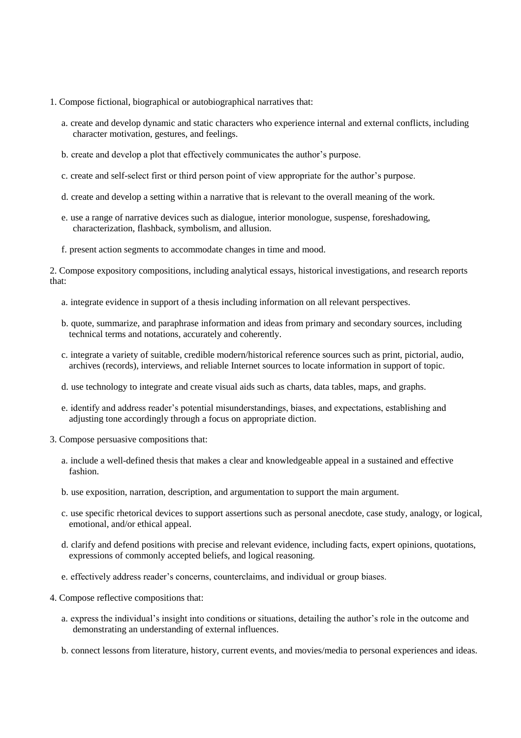- 1. Compose fictional, biographical or autobiographical narratives that:
	- a. create and develop dynamic and static characters who experience internal and external conflicts, including character motivation, gestures, and feelings.
	- b. create and develop a plot that effectively communicates the author's purpose.
	- c. create and self-select first or third person point of view appropriate for the author's purpose.
	- d. create and develop a setting within a narrative that is relevant to the overall meaning of the work.
	- e. use a range of narrative devices such as dialogue, interior monologue, suspense, foreshadowing, characterization, flashback, symbolism, and allusion.
	- f. present action segments to accommodate changes in time and mood.

2. Compose expository compositions, including analytical essays, historical investigations, and research reports that:

- a. integrate evidence in support of a thesis including information on all relevant perspectives.
- b. quote, summarize, and paraphrase information and ideas from primary and secondary sources, including technical terms and notations, accurately and coherently.
- c. integrate a variety of suitable, credible modern/historical reference sources such as print, pictorial, audio, archives (records), interviews, and reliable Internet sources to locate information in support of topic.
- d. use technology to integrate and create visual aids such as charts, data tables, maps, and graphs.
- e. identify and address reader's potential misunderstandings, biases, and expectations, establishing and adjusting tone accordingly through a focus on appropriate diction.
- 3. Compose persuasive compositions that:
	- a. include a well-defined thesis that makes a clear and knowledgeable appeal in a sustained and effective fashion.
	- b. use exposition, narration, description, and argumentation to support the main argument.
	- c. use specific rhetorical devices to support assertions such as personal anecdote, case study, analogy, or logical, emotional, and/or ethical appeal.
	- d. clarify and defend positions with precise and relevant evidence, including facts, expert opinions, quotations, expressions of commonly accepted beliefs, and logical reasoning.
	- e. effectively address reader's concerns, counterclaims, and individual or group biases.
- 4. Compose reflective compositions that:
	- a. express the individual's insight into conditions or situations, detailing the author's role in the outcome and demonstrating an understanding of external influences.
	- b. connect lessons from literature, history, current events, and movies/media to personal experiences and ideas.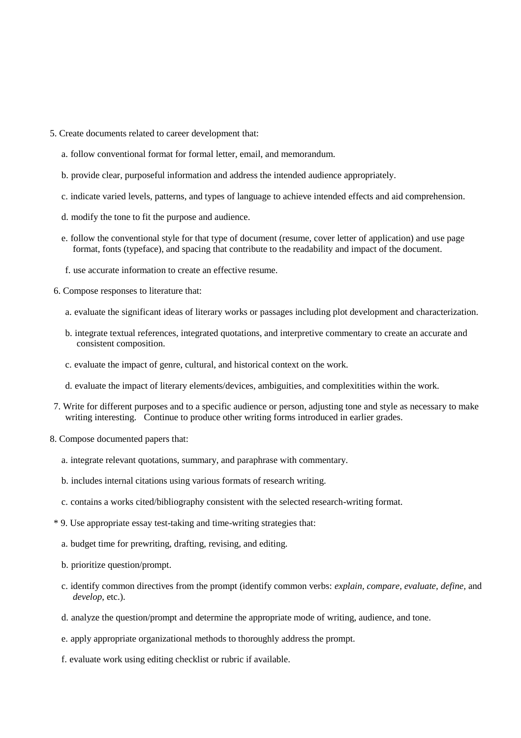- 5. Create documents related to career development that:
	- a. follow conventional format for formal letter, email, and memorandum.
	- b. provide clear, purposeful information and address the intended audience appropriately.
	- c. indicate varied levels, patterns, and types of language to achieve intended effects and aid comprehension.
	- d. modify the tone to fit the purpose and audience.
	- e. follow the conventional style for that type of document (resume, cover letter of application) and use page format, fonts (typeface), and spacing that contribute to the readability and impact of the document.
	- f. use accurate information to create an effective resume.
- 6. Compose responses to literature that:
	- a. evaluate the significant ideas of literary works or passages including plot development and characterization.
	- b. integrate textual references, integrated quotations, and interpretive commentary to create an accurate and consistent composition.
	- c. evaluate the impact of genre, cultural, and historical context on the work.
	- d. evaluate the impact of literary elements/devices, ambiguities, and complexitities within the work.
- 7. Write for different purposes and to a specific audience or person, adjusting tone and style as necessary to make writing interesting. Continue to produce other writing forms introduced in earlier grades.
- 8. Compose documented papers that:
	- a. integrate relevant quotations, summary, and paraphrase with commentary.
	- b. includes internal citations using various formats of research writing.
	- c. contains a works cited/bibliography consistent with the selected research-writing format.
- \* 9. Use appropriate essay test-taking and time-writing strategies that:
	- a. budget time for prewriting, drafting, revising, and editing.
	- b. prioritize question/prompt.
	- c. identify common directives from the prompt (identify common verbs: *explain, compare, evaluate, define,* and *develop*, etc.).
	- d. analyze the question/prompt and determine the appropriate mode of writing, audience, and tone.
	- e. apply appropriate organizational methods to thoroughly address the prompt.
	- f. evaluate work using editing checklist or rubric if available.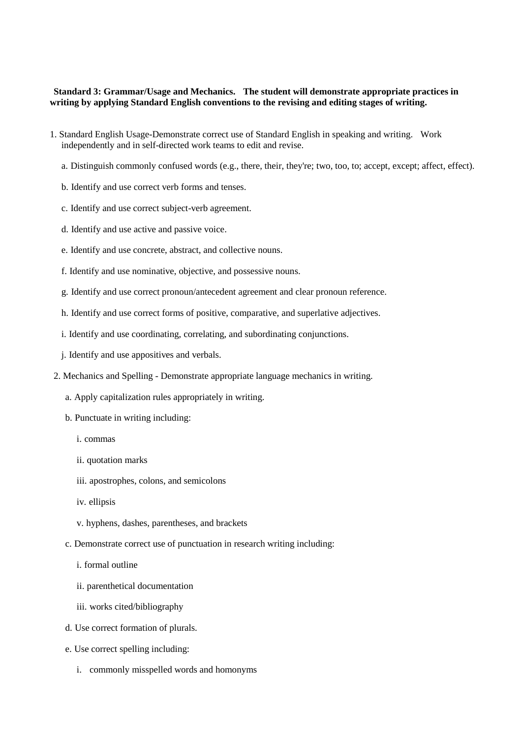#### **Standard 3: Grammar/Usage and Mechanics. The student will demonstrate appropriate practices in writing by applying Standard English conventions to the revising and editing stages of writing.**

- 1. Standard English Usage-Demonstrate correct use of Standard English in speaking and writing. Work independently and in self-directed work teams to edit and revise.
	- a. Distinguish commonly confused words (e.g., there, their, they're; two, too, to; accept, except; affect, effect).
	- b. Identify and use correct verb forms and tenses.
	- c. Identify and use correct subject-verb agreement.
	- d. Identify and use active and passive voice.
	- e. Identify and use concrete, abstract, and collective nouns.
	- f. Identify and use nominative, objective, and possessive nouns.
	- g. Identify and use correct pronoun/antecedent agreement and clear pronoun reference.
	- h. Identify and use correct forms of positive, comparative, and superlative adjectives.
	- i. Identify and use coordinating, correlating, and subordinating conjunctions.
	- j. Identify and use appositives and verbals.
- 2. Mechanics and Spelling Demonstrate appropriate language mechanics in writing.
	- a. Apply capitalization rules appropriately in writing.
	- b. Punctuate in writing including:
		- i. commas
		- ii. quotation marks
		- iii. apostrophes, colons, and semicolons
		- iv. ellipsis
		- v. hyphens, dashes, parentheses, and brackets
	- c. Demonstrate correct use of punctuation in research writing including:
		- i. formal outline
		- ii. parenthetical documentation
		- iii. works cited/bibliography
	- d. Use correct formation of plurals.
	- e. Use correct spelling including:
		- i. commonly misspelled words and homonyms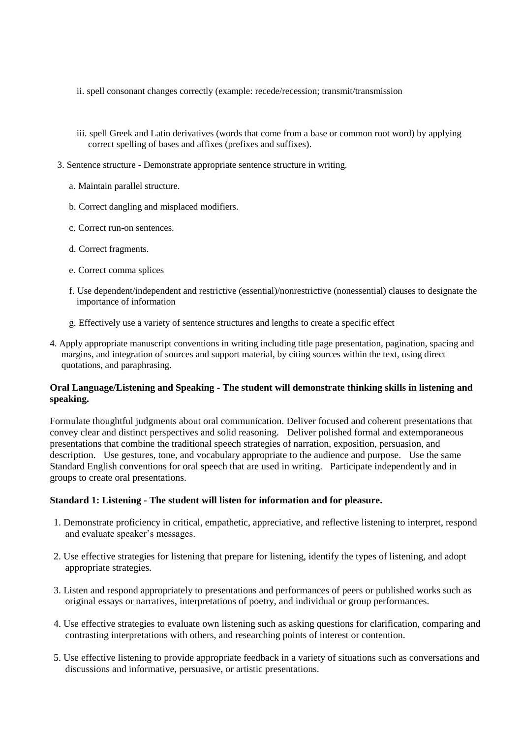- ii. spell consonant changes correctly (example: recede/recession; transmit/transmission
- iii. spell Greek and Latin derivatives (words that come from a base or common root word) by applying correct spelling of bases and affixes (prefixes and suffixes).
- 3. Sentence structure Demonstrate appropriate sentence structure in writing.
	- a. Maintain parallel structure.
	- b. Correct dangling and misplaced modifiers.
	- c. Correct run-on sentences.
	- d. Correct fragments.
	- e. Correct comma splices
	- f. Use dependent/independent and restrictive (essential)/nonrestrictive (nonessential) clauses to designate the importance of information
	- g. Effectively use a variety of sentence structures and lengths to create a specific effect
- 4. Apply appropriate manuscript conventions in writing including title page presentation, pagination, spacing and margins, and integration of sources and support material, by citing sources within the text, using direct quotations, and paraphrasing.

# **Oral Language/Listening and Speaking - The student will demonstrate thinking skills in listening and speaking.**

Formulate thoughtful judgments about oral communication. Deliver focused and coherent presentations that convey clear and distinct perspectives and solid reasoning. Deliver polished formal and extemporaneous presentations that combine the traditional speech strategies of narration, exposition, persuasion, and description. Use gestures, tone, and vocabulary appropriate to the audience and purpose. Use the same Standard English conventions for oral speech that are used in writing. Participate independently and in groups to create oral presentations.

### **Standard 1: Listening - The student will listen for information and for pleasure.**

- 1. Demonstrate proficiency in critical, empathetic, appreciative, and reflective listening to interpret, respond and evaluate speaker's messages.
- 2. Use effective strategies for listening that prepare for listening, identify the types of listening, and adopt appropriate strategies.
- 3. Listen and respond appropriately to presentations and performances of peers or published works such as original essays or narratives, interpretations of poetry, and individual or group performances.
- 4. Use effective strategies to evaluate own listening such as asking questions for clarification, comparing and contrasting interpretations with others, and researching points of interest or contention.
- 5. Use effective listening to provide appropriate feedback in a variety of situations such as conversations and discussions and informative, persuasive, or artistic presentations.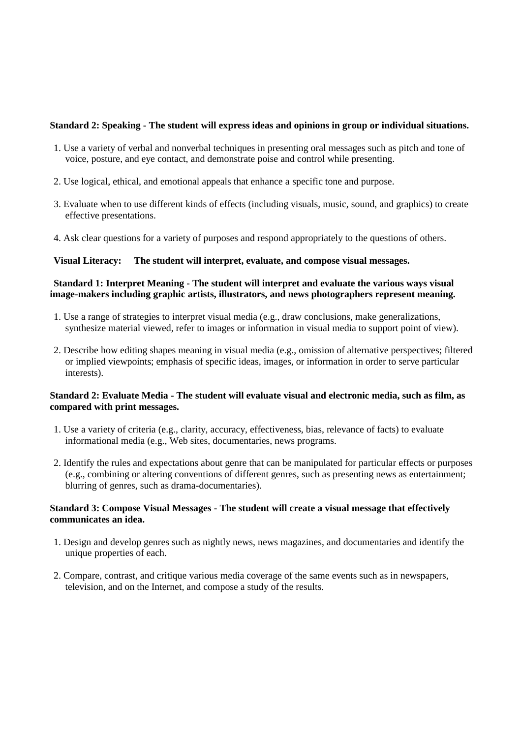## **Standard 2: Speaking - The student will express ideas and opinions in group or individual situations.**

- 1. Use a variety of verbal and nonverbal techniques in presenting oral messages such as pitch and tone of voice, posture, and eye contact, and demonstrate poise and control while presenting.
- 2. Use logical, ethical, and emotional appeals that enhance a specific tone and purpose.
- 3. Evaluate when to use different kinds of effects (including visuals, music, sound, and graphics) to create effective presentations.
- 4. Ask clear questions for a variety of purposes and respond appropriately to the questions of others.

### **Visual Literacy: The student will interpret, evaluate, and compose visual messages.**

## **Standard 1: Interpret Meaning - The student will interpret and evaluate the various ways visual image-makers including graphic artists, illustrators, and news photographers represent meaning.**

- 1. Use a range of strategies to interpret visual media (e.g., draw conclusions, make generalizations, synthesize material viewed, refer to images or information in visual media to support point of view).
- 2. Describe how editing shapes meaning in visual media (e.g., omission of alternative perspectives; filtered or implied viewpoints; emphasis of specific ideas, images, or information in order to serve particular interests).

### **Standard 2: Evaluate Media - The student will evaluate visual and electronic media, such as film, as compared with print messages.**

- 1. Use a variety of criteria (e.g., clarity, accuracy, effectiveness, bias, relevance of facts) to evaluate informational media (e.g., Web sites, documentaries, news programs.
- 2. Identify the rules and expectations about genre that can be manipulated for particular effects or purposes (e.g., combining or altering conventions of different genres, such as presenting news as entertainment; blurring of genres, such as drama-documentaries).

# **Standard 3: Compose Visual Messages - The student will create a visual message that effectively communicates an idea.**

- 1. Design and develop genres such as nightly news, news magazines, and documentaries and identify the unique properties of each.
- 2. Compare, contrast, and critique various media coverage of the same events such as in newspapers, television, and on the Internet, and compose a study of the results.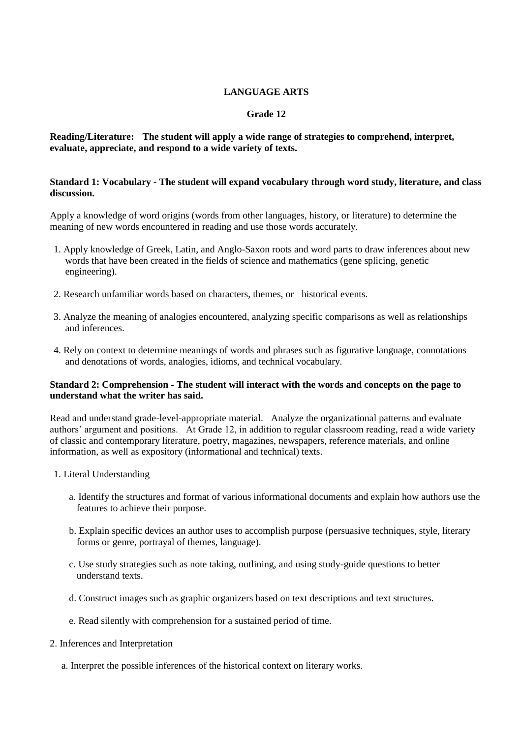# **LANGUAGE ARTS**

## **Grade 12**

# **Reading/Literature: The student will apply a wide range of strategies to comprehend, interpret, evaluate, appreciate, and respond to a wide variety of texts.**

## **Standard 1: Vocabulary - The student will expand vocabulary through word study, literature, and class discussion.**

Apply a knowledge of word origins (words from other languages, history, or literature) to determine the meaning of new words encountered in reading and use those words accurately.

- 1. Apply knowledge of Greek, Latin, and Anglo-Saxon roots and word parts to draw inferences about new words that have been created in the fields of science and mathematics (gene splicing, genetic engineering).
- 2. Research unfamiliar words based on characters, themes, or historical events.
- 3. Analyze the meaning of analogies encountered, analyzing specific comparisons as well as relationships and inferences.
- 4. Rely on context to determine meanings of words and phrases such as figurative language, connotations and denotations of words, analogies, idioms, and technical vocabulary.

## **Standard 2: Comprehension - The student will interact with the words and concepts on the page to understand what the writer has said.**

Read and understand grade-level-appropriate material. Analyze the organizational patterns and evaluate authors' argument and positions. At Grade 12, in addition to regular classroom reading, read a wide variety of classic and contemporary literature, poetry, magazines, newspapers, reference materials, and online information, as well as expository (informational and technical) texts.

### 1. Literal Understanding

- a. Identify the structures and format of various informational documents and explain how authors use the features to achieve their purpose.
- b. Explain specific devices an author uses to accomplish purpose (persuasive techniques, style, literary forms or genre, portrayal of themes, language).
- c. Use study strategies such as note taking, outlining, and using study-guide questions to better understand texts.
- d. Construct images such as graphic organizers based on text descriptions and text structures.
- e. Read silently with comprehension for a sustained period of time.
- 2. Inferences and Interpretation
	- a. Interpret the possible inferences of the historical context on literary works.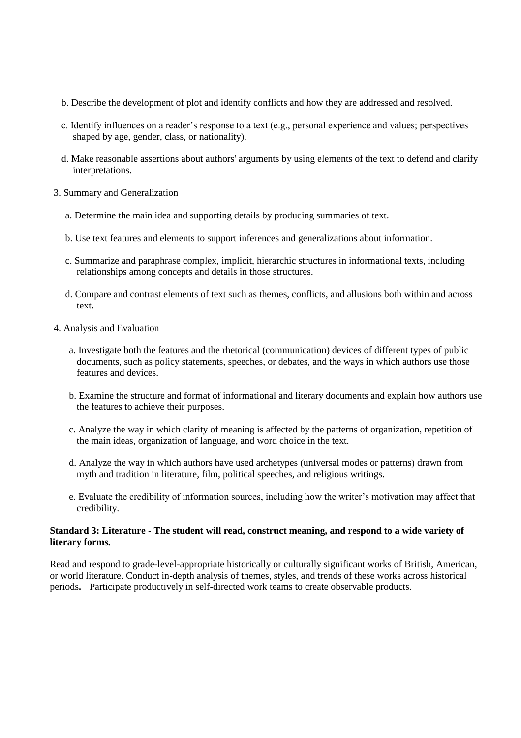- b. Describe the development of plot and identify conflicts and how they are addressed and resolved.
- c. Identify influences on a reader's response to a text (e.g., personal experience and values; perspectives shaped by age, gender, class, or nationality).
- d. Make reasonable assertions about authors' arguments by using elements of the text to defend and clarify interpretations.
- 3. Summary and Generalization
	- a. Determine the main idea and supporting details by producing summaries of text.
	- b. Use text features and elements to support inferences and generalizations about information.
	- c. Summarize and paraphrase complex, implicit, hierarchic structures in informational texts, including relationships among concepts and details in those structures.
	- d. Compare and contrast elements of text such as themes, conflicts, and allusions both within and across text.
- 4. Analysis and Evaluation
	- a. Investigate both the features and the rhetorical (communication) devices of different types of public documents, such as policy statements, speeches, or debates, and the ways in which authors use those features and devices.
	- b. Examine the structure and format of informational and literary documents and explain how authors use the features to achieve their purposes.
	- c. Analyze the way in which clarity of meaning is affected by the patterns of organization, repetition of the main ideas, organization of language, and word choice in the text.
	- d. Analyze the way in which authors have used archetypes (universal modes or patterns) drawn from myth and tradition in literature, film, political speeches, and religious writings.
	- e. Evaluate the credibility of information sources, including how the writer's motivation may affect that credibility.

## **Standard 3: Literature - The student will read, construct meaning, and respond to a wide variety of literary forms.**

Read and respond to grade-level-appropriate historically or culturally significant works of British, American, or world literature. Conduct in-depth analysis of themes, styles, and trends of these works across historical periods**.** Participate productively in self-directed work teams to create observable products.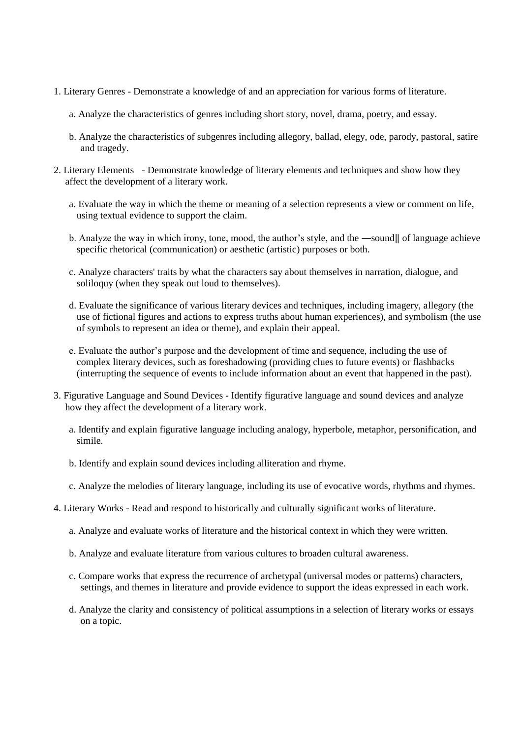- 1. Literary Genres Demonstrate a knowledge of and an appreciation for various forms of literature.
	- a. Analyze the characteristics of genres including short story, novel, drama, poetry, and essay.
	- b. Analyze the characteristics of subgenres including allegory, ballad, elegy, ode, parody, pastoral, satire and tragedy.
- 2. Literary Elements Demonstrate knowledge of literary elements and techniques and show how they affect the development of a literary work.
	- a. Evaluate the way in which the theme or meaning of a selection represents a view or comment on life, using textual evidence to support the claim.
	- b. Analyze the way in which irony, tone, mood, the author's style, and the —sound|| of language achieve specific rhetorical (communication) or aesthetic (artistic) purposes or both.
	- c. Analyze characters' traits by what the characters say about themselves in narration, dialogue, and soliloquy (when they speak out loud to themselves).
	- d. Evaluate the significance of various literary devices and techniques, including imagery, allegory (the use of fictional figures and actions to express truths about human experiences), and symbolism (the use of symbols to represent an idea or theme), and explain their appeal.
	- e. Evaluate the author's purpose and the development of time and sequence, including the use of complex literary devices, such as foreshadowing (providing clues to future events) or flashbacks (interrupting the sequence of events to include information about an event that happened in the past).
- 3. Figurative Language and Sound Devices Identify figurative language and sound devices and analyze how they affect the development of a literary work.
	- a. Identify and explain figurative language including analogy, hyperbole, metaphor, personification, and simile.
	- b. Identify and explain sound devices including alliteration and rhyme.
	- c. Analyze the melodies of literary language, including its use of evocative words, rhythms and rhymes.
- 4. Literary Works Read and respond to historically and culturally significant works of literature.
	- a. Analyze and evaluate works of literature and the historical context in which they were written.
	- b. Analyze and evaluate literature from various cultures to broaden cultural awareness.
	- c. Compare works that express the recurrence of archetypal (universal modes or patterns) characters, settings, and themes in literature and provide evidence to support the ideas expressed in each work.
	- d. Analyze the clarity and consistency of political assumptions in a selection of literary works or essays on a topic.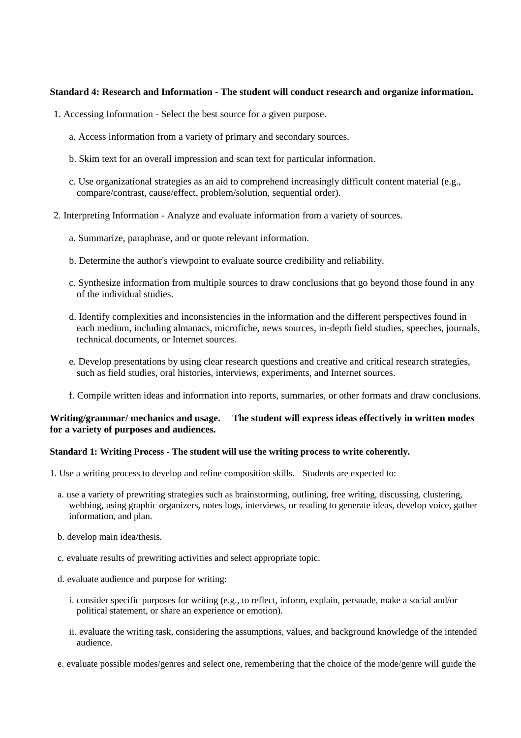# **Standard 4: Research and Information - The student will conduct research and organize information.**

- 1. Accessing Information Select the best source for a given purpose.
	- a. Access information from a variety of primary and secondary sources.
	- b. Skim text for an overall impression and scan text for particular information.
	- c. Use organizational strategies as an aid to comprehend increasingly difficult content material (e.g., compare/contrast, cause/effect, problem/solution, sequential order).
- 2. Interpreting Information Analyze and evaluate information from a variety of sources.
	- a. Summarize, paraphrase, and or quote relevant information.
	- b. Determine the author's viewpoint to evaluate source credibility and reliability.
	- c. Synthesize information from multiple sources to draw conclusions that go beyond those found in any of the individual studies.
	- d. Identify complexities and inconsistencies in the information and the different perspectives found in each medium, including almanacs, microfiche, news sources, in-depth field studies, speeches, journals, technical documents, or Internet sources.
	- e. Develop presentations by using clear research questions and creative and critical research strategies, such as field studies, oral histories, interviews, experiments, and Internet sources.
	- f. Compile written ideas and information into reports, summaries, or other formats and draw conclusions.

### **Writing/grammar/ mechanics and usage. The student will express ideas effectively in written modes for a variety of purposes and audiences.**

#### **Standard 1: Writing Process - The student will use the writing process to write coherently.**

- 1. Use a writing process to develop and refine composition skills. Students are expected to:
	- a. use a variety of prewriting strategies such as brainstorming, outlining, free writing, discussing, clustering, webbing, using graphic organizers, notes logs, interviews, or reading to generate ideas, develop voice, gather information, and plan.
	- b. develop main idea/thesis.
	- c. evaluate results of prewriting activities and select appropriate topic.
	- d. evaluate audience and purpose for writing:
		- i. consider specific purposes for writing (e.g., to reflect, inform, explain, persuade, make a social and/or political statement, or share an experience or emotion).
		- ii. evaluate the writing task, considering the assumptions, values, and background knowledge of the intended audience.
	- e. evaluate possible modes/genres and select one, remembering that the choice of the mode/genre will guide the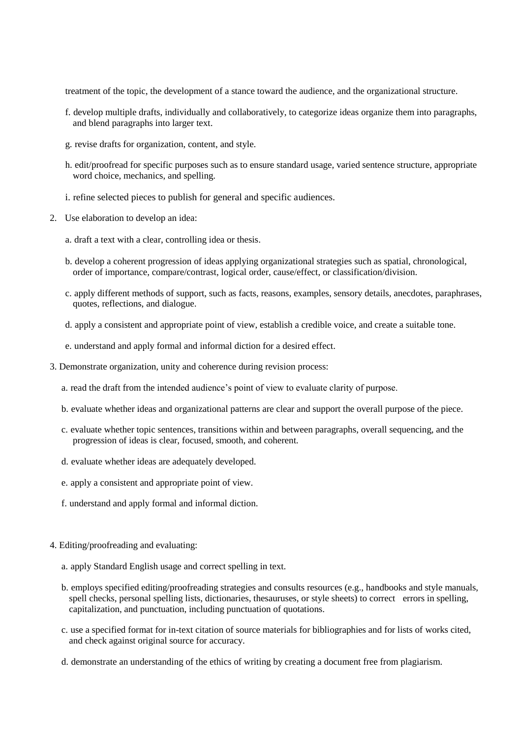treatment of the topic, the development of a stance toward the audience, and the organizational structure.

- f. develop multiple drafts, individually and collaboratively, to categorize ideas organize them into paragraphs, and blend paragraphs into larger text.
- g. revise drafts for organization, content, and style.
- h. edit/proofread for specific purposes such as to ensure standard usage, varied sentence structure, appropriate word choice, mechanics, and spelling.
- i. refine selected pieces to publish for general and specific audiences.
- 2. Use elaboration to develop an idea:
	- a. draft a text with a clear, controlling idea or thesis.
	- b. develop a coherent progression of ideas applying organizational strategies such as spatial, chronological, order of importance, compare/contrast, logical order, cause/effect, or classification/division.
	- c. apply different methods of support, such as facts, reasons, examples, sensory details, anecdotes, paraphrases, quotes, reflections, and dialogue.
	- d. apply a consistent and appropriate point of view, establish a credible voice, and create a suitable tone.
	- e. understand and apply formal and informal diction for a desired effect.
- 3. Demonstrate organization, unity and coherence during revision process:
	- a. read the draft from the intended audience's point of view to evaluate clarity of purpose.
	- b. evaluate whether ideas and organizational patterns are clear and support the overall purpose of the piece.
	- c. evaluate whether topic sentences, transitions within and between paragraphs, overall sequencing, and the progression of ideas is clear, focused, smooth, and coherent.
	- d. evaluate whether ideas are adequately developed.
	- e. apply a consistent and appropriate point of view.
	- f. understand and apply formal and informal diction.
- 4. Editing/proofreading and evaluating:
	- a. apply Standard English usage and correct spelling in text.
	- b. employs specified editing/proofreading strategies and consults resources (e.g., handbooks and style manuals, spell checks, personal spelling lists, dictionaries, thesauruses, or style sheets) to correct errors in spelling, capitalization, and punctuation, including punctuation of quotations.
	- c. use a specified format for in-text citation of source materials for bibliographies and for lists of works cited, and check against original source for accuracy.
	- d. demonstrate an understanding of the ethics of writing by creating a document free from plagiarism.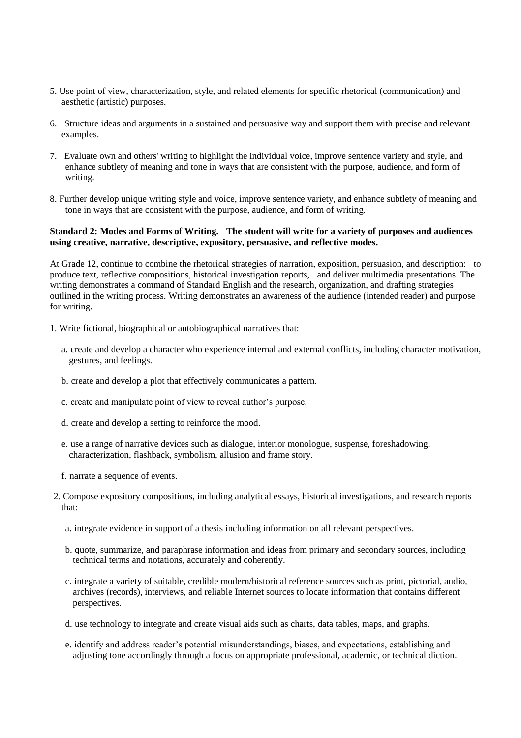- 5. Use point of view, characterization, style, and related elements for specific rhetorical (communication) and aesthetic (artistic) purposes.
- 6. Structure ideas and arguments in a sustained and persuasive way and support them with precise and relevant examples.
- 7. Evaluate own and others' writing to highlight the individual voice, improve sentence variety and style, and enhance subtlety of meaning and tone in ways that are consistent with the purpose, audience, and form of writing.
- 8. Further develop unique writing style and voice, improve sentence variety, and enhance subtlety of meaning and tone in ways that are consistent with the purpose, audience, and form of writing.

#### **Standard 2: Modes and Forms of Writing. The student will write for a variety of purposes and audiences using creative, narrative, descriptive, expository, persuasive, and reflective modes.**

At Grade 12, continue to combine the rhetorical strategies of narration, exposition, persuasion, and description: to produce text, reflective compositions, historical investigation reports, and deliver multimedia presentations. The writing demonstrates a command of Standard English and the research, organization, and drafting strategies outlined in the writing process. Writing demonstrates an awareness of the audience (intended reader) and purpose for writing.

- 1. Write fictional, biographical or autobiographical narratives that:
	- a. create and develop a character who experience internal and external conflicts, including character motivation, gestures, and feelings.
	- b. create and develop a plot that effectively communicates a pattern.
	- c. create and manipulate point of view to reveal author's purpose.
	- d. create and develop a setting to reinforce the mood.
	- e. use a range of narrative devices such as dialogue, interior monologue, suspense, foreshadowing, characterization, flashback, symbolism, allusion and frame story.
	- f. narrate a sequence of events.
- 2. Compose expository compositions, including analytical essays, historical investigations, and research reports that:
	- a. integrate evidence in support of a thesis including information on all relevant perspectives.
	- b. quote, summarize, and paraphrase information and ideas from primary and secondary sources, including technical terms and notations, accurately and coherently.
	- c. integrate a variety of suitable, credible modern/historical reference sources such as print, pictorial, audio, archives (records), interviews, and reliable Internet sources to locate information that contains different perspectives.
	- d. use technology to integrate and create visual aids such as charts, data tables, maps, and graphs.
	- e. identify and address reader's potential misunderstandings, biases, and expectations, establishing and adjusting tone accordingly through a focus on appropriate professional, academic, or technical diction.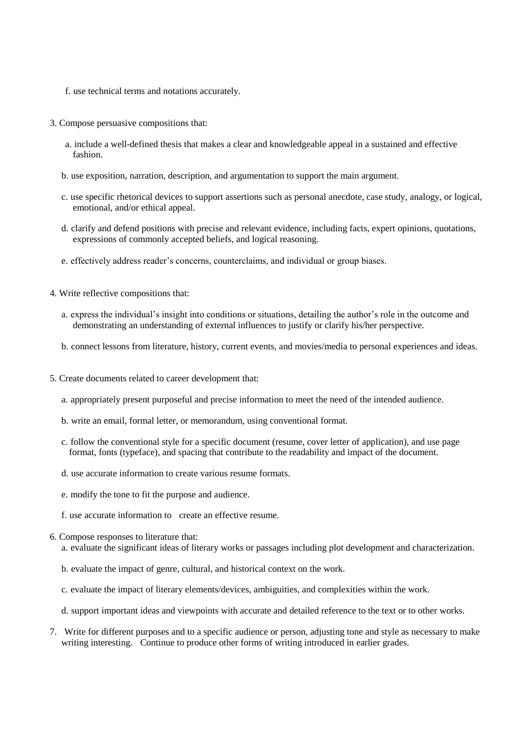- f. use technical terms and notations accurately.
- 3. Compose persuasive compositions that:
	- a. include a well-defined thesis that makes a clear and knowledgeable appeal in a sustained and effective fashion.
	- b. use exposition, narration, description, and argumentation to support the main argument.
	- c. use specific rhetorical devices to support assertions such as personal anecdote, case study, analogy, or logical, emotional, and/or ethical appeal.
	- d. clarify and defend positions with precise and relevant evidence, including facts, expert opinions, quotations, expressions of commonly accepted beliefs, and logical reasoning.
	- e. effectively address reader's concerns, counterclaims, and individual or group biases.
- 4. Write reflective compositions that:
	- a. express the individual's insight into conditions or situations, detailing the author's role in the outcome and demonstrating an understanding of external influences to justify or clarify his/her perspective.
	- b. connect lessons from literature, history, current events, and movies/media to personal experiences and ideas.
- 5. Create documents related to career development that:
	- a. appropriately present purposeful and precise information to meet the need of the intended audience.
	- b. write an email, formal letter, or memorandum, using conventional format.
	- c. follow the conventional style for a specific document (resume, cover letter of application), and use page format, fonts (typeface), and spacing that contribute to the readability and impact of the document.
	- d. use accurate information to create various resume formats.
	- e. modify the tone to fit the purpose and audience.
	- f. use accurate information to create an effective resume.
- 6. Compose responses to literature that:
	- a. evaluate the significant ideas of literary works or passages including plot development and characterization.
	- b. evaluate the impact of genre, cultural, and historical context on the work.
	- c. evaluate the impact of literary elements/devices, ambiguities, and complexities within the work.
	- d. support important ideas and viewpoints with accurate and detailed reference to the text or to other works.
- 7. Write for different purposes and to a specific audience or person, adjusting tone and style as necessary to make writing interesting. Continue to produce other forms of writing introduced in earlier grades.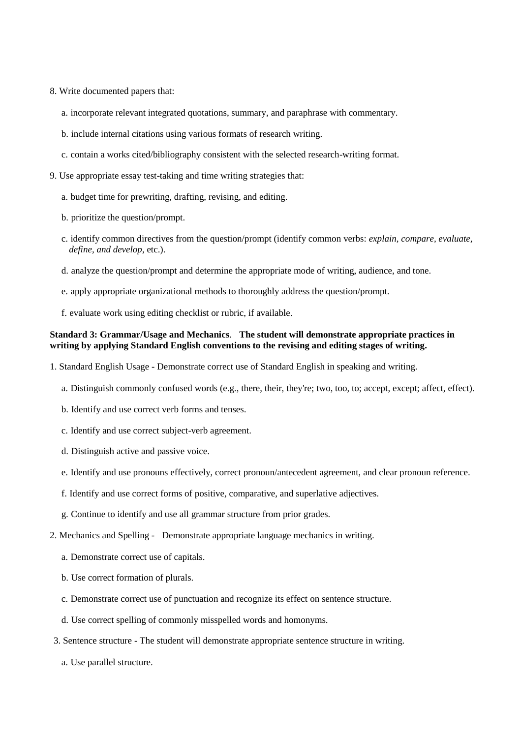- 8. Write documented papers that:
	- a. incorporate relevant integrated quotations, summary, and paraphrase with commentary.
	- b. include internal citations using various formats of research writing.
	- c. contain a works cited/bibliography consistent with the selected research-writing format.
- 9. Use appropriate essay test-taking and time writing strategies that:
	- a. budget time for prewriting, drafting, revising, and editing.
	- b. prioritize the question/prompt.
	- c. identify common directives from the question/prompt (identify common verbs: *explain, compare, evaluate, define, and develop*, etc.).
	- d. analyze the question/prompt and determine the appropriate mode of writing, audience, and tone.
	- e. apply appropriate organizational methods to thoroughly address the question/prompt.
	- f. evaluate work using editing checklist or rubric, if available.

#### **Standard 3: Grammar/Usage and Mechanics**. **The student will demonstrate appropriate practices in writing by applying Standard English conventions to the revising and editing stages of writing.**

- 1. Standard English Usage Demonstrate correct use of Standard English in speaking and writing.
	- a. Distinguish commonly confused words (e.g., there, their, they're; two, too, to; accept, except; affect, effect).
	- b. Identify and use correct verb forms and tenses.
	- c. Identify and use correct subject-verb agreement.
	- d. Distinguish active and passive voice.
	- e. Identify and use pronouns effectively, correct pronoun/antecedent agreement, and clear pronoun reference.
	- f. Identify and use correct forms of positive, comparative, and superlative adjectives.
	- g. Continue to identify and use all grammar structure from prior grades.
- 2. Mechanics and Spelling Demonstrate appropriate language mechanics in writing.
	- a. Demonstrate correct use of capitals.
	- b. Use correct formation of plurals.
	- c. Demonstrate correct use of punctuation and recognize its effect on sentence structure.
	- d. Use correct spelling of commonly misspelled words and homonyms.
- 3. Sentence structure The student will demonstrate appropriate sentence structure in writing.
	- a. Use parallel structure.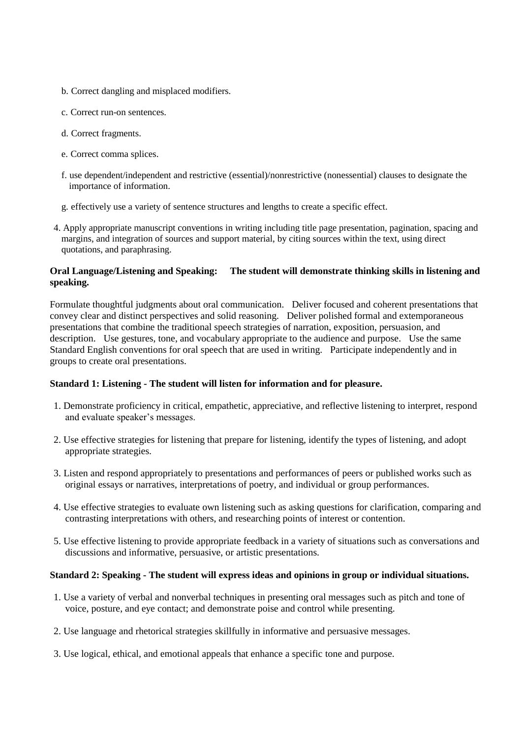- b. Correct dangling and misplaced modifiers.
- c. Correct run-on sentences.
- d. Correct fragments.
- e. Correct comma splices.
- f. use dependent/independent and restrictive (essential)/nonrestrictive (nonessential) clauses to designate the importance of information.
- g. effectively use a variety of sentence structures and lengths to create a specific effect.
- 4. Apply appropriate manuscript conventions in writing including title page presentation, pagination, spacing and margins, and integration of sources and support material, by citing sources within the text, using direct quotations, and paraphrasing.

# **Oral Language/Listening and Speaking: The student will demonstrate thinking skills in listening and speaking.**

Formulate thoughtful judgments about oral communication. Deliver focused and coherent presentations that convey clear and distinct perspectives and solid reasoning. Deliver polished formal and extemporaneous presentations that combine the traditional speech strategies of narration, exposition, persuasion, and description. Use gestures, tone, and vocabulary appropriate to the audience and purpose. Use the same Standard English conventions for oral speech that are used in writing. Participate independently and in groups to create oral presentations.

### **Standard 1: Listening - The student will listen for information and for pleasure.**

- 1. Demonstrate proficiency in critical, empathetic, appreciative, and reflective listening to interpret, respond and evaluate speaker's messages.
- 2. Use effective strategies for listening that prepare for listening, identify the types of listening, and adopt appropriate strategies.
- 3. Listen and respond appropriately to presentations and performances of peers or published works such as original essays or narratives, interpretations of poetry, and individual or group performances.
- 4. Use effective strategies to evaluate own listening such as asking questions for clarification, comparing and contrasting interpretations with others, and researching points of interest or contention.
- 5. Use effective listening to provide appropriate feedback in a variety of situations such as conversations and discussions and informative, persuasive, or artistic presentations.

### **Standard 2: Speaking - The student will express ideas and opinions in group or individual situations.**

- 1. Use a variety of verbal and nonverbal techniques in presenting oral messages such as pitch and tone of voice, posture, and eye contact; and demonstrate poise and control while presenting.
- 2. Use language and rhetorical strategies skillfully in informative and persuasive messages.
- 3. Use logical, ethical, and emotional appeals that enhance a specific tone and purpose.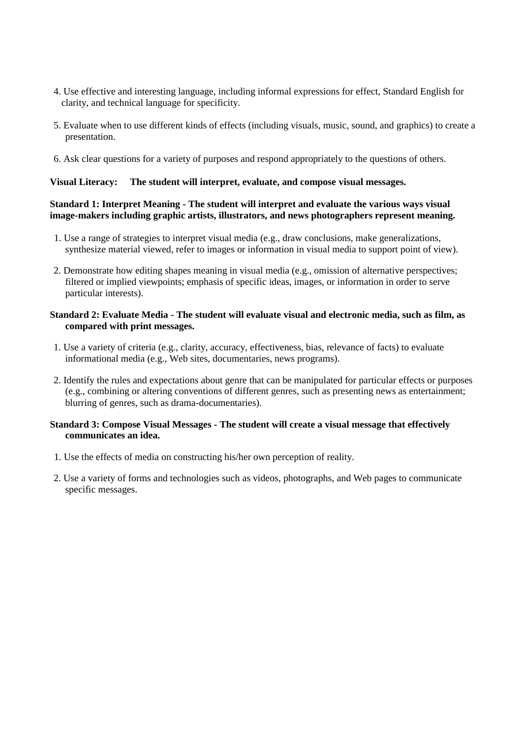- 4. Use effective and interesting language, including informal expressions for effect, Standard English for clarity, and technical language for specificity.
- 5. Evaluate when to use different kinds of effects (including visuals, music, sound, and graphics) to create a presentation.
- 6. Ask clear questions for a variety of purposes and respond appropriately to the questions of others.

## **Visual Literacy: The student will interpret, evaluate, and compose visual messages.**

## **Standard 1: Interpret Meaning - The student will interpret and evaluate the various ways visual image-makers including graphic artists, illustrators, and news photographers represent meaning.**

- 1. Use a range of strategies to interpret visual media (e.g., draw conclusions, make generalizations, synthesize material viewed, refer to images or information in visual media to support point of view).
- 2. Demonstrate how editing shapes meaning in visual media (e.g., omission of alternative perspectives; filtered or implied viewpoints; emphasis of specific ideas, images, or information in order to serve particular interests).

## **Standard 2: Evaluate Media - The student will evaluate visual and electronic media, such as film, as compared with print messages.**

- 1. Use a variety of criteria (e.g., clarity, accuracy, effectiveness, bias, relevance of facts) to evaluate informational media (e.g., Web sites, documentaries, news programs).
- 2. Identify the rules and expectations about genre that can be manipulated for particular effects or purposes (e.g., combining or altering conventions of different genres, such as presenting news as entertainment; blurring of genres, such as drama-documentaries).

## **Standard 3: Compose Visual Messages - The student will create a visual message that effectively communicates an idea.**

- 1. Use the effects of media on constructing his/her own perception of reality.
- 2. Use a variety of forms and technologies such as videos, photographs, and Web pages to communicate specific messages.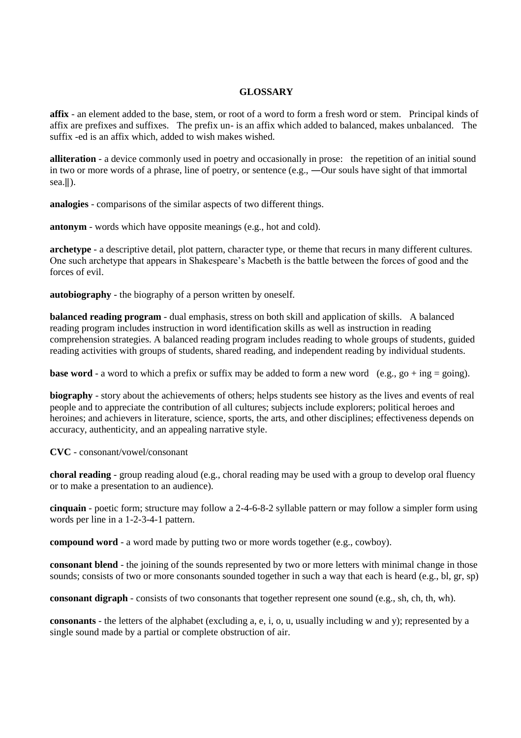## **GLOSSARY**

**affix** - an element added to the base, stem, or root of a word to form a fresh word or stem. Principal kinds of affix are prefixes and suffixes. The prefix un- is an affix which added to balanced, makes unbalanced. The suffix -ed is an affix which, added to wish makes wished.

**alliteration** - a device commonly used in poetry and occasionally in prose: the repetition of an initial sound in two or more words of a phrase, line of poetry, or sentence (e.g., ―Our souls have sight of that immortal sea.ll).

**analogies** - comparisons of the similar aspects of two different things.

**antonym** - words which have opposite meanings (e.g., hot and cold).

**archetype** - a descriptive detail, plot pattern, character type, or theme that recurs in many different cultures. One such archetype that appears in Shakespeare's Macbeth is the battle between the forces of good and the forces of evil.

**autobiography** - the biography of a person written by oneself.

**balanced reading program** - dual emphasis, stress on both skill and application of skills. A balanced reading program includes instruction in word identification skills as well as instruction in reading comprehension strategies. A balanced reading program includes reading to whole groups of students, guided reading activities with groups of students, shared reading, and independent reading by individual students.

**base word** - a word to which a prefix or suffix may be added to form a new word  $(e.g., go + ing = going)$ .

**biography** - story about the achievements of others; helps students see history as the lives and events of real people and to appreciate the contribution of all cultures; subjects include explorers; political heroes and heroines; and achievers in literature, science, sports, the arts, and other disciplines; effectiveness depends on accuracy, authenticity, and an appealing narrative style.

### **CVC** - consonant/vowel/consonant

**choral reading** - group reading aloud (e.g., choral reading may be used with a group to develop oral fluency or to make a presentation to an audience).

**cinquain** - poetic form; structure may follow a 2-4-6-8-2 syllable pattern or may follow a simpler form using words per line in a 1-2-3-4-1 pattern.

**compound word** - a word made by putting two or more words together (e.g., cowboy).

**consonant blend** - the joining of the sounds represented by two or more letters with minimal change in those sounds; consists of two or more consonants sounded together in such a way that each is heard (e.g., bl, gr, sp)

**consonant digraph** - consists of two consonants that together represent one sound (e.g., sh, ch, th, wh).

**consonants** - the letters of the alphabet (excluding a, e, i, o, u, usually including w and y); represented by a single sound made by a partial or complete obstruction of air.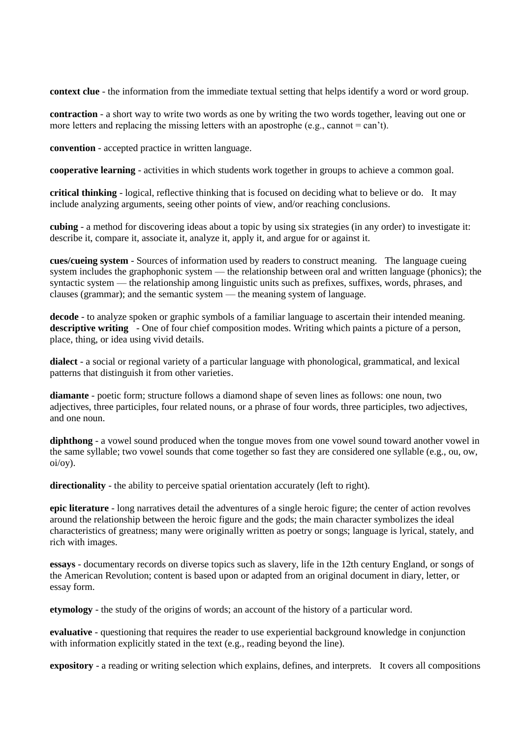**context clue** - the information from the immediate textual setting that helps identify a word or word group.

**contraction** - a short way to write two words as one by writing the two words together, leaving out one or more letters and replacing the missing letters with an apostrophe (e.g., cannot  $=$  can't).

**convention** - accepted practice in written language.

**cooperative learning** - activities in which students work together in groups to achieve a common goal.

**critical thinking** - logical, reflective thinking that is focused on deciding what to believe or do. It may include analyzing arguments, seeing other points of view, and/or reaching conclusions.

**cubing** - a method for discovering ideas about a topic by using six strategies (in any order) to investigate it: describe it, compare it, associate it, analyze it, apply it, and argue for or against it.

**cues/cueing system** - Sources of information used by readers to construct meaning. The language cueing system includes the graphophonic system — the relationship between oral and written language (phonics); the syntactic system — the relationship among linguistic units such as prefixes, suffixes, words, phrases, and clauses (grammar); and the semantic system — the meaning system of language.

**decode** - to analyze spoken or graphic symbols of a familiar language to ascertain their intended meaning. **descriptive writing** - One of four chief composition modes. Writing which paints a picture of a person, place, thing, or idea using vivid details.

**dialect** - a social or regional variety of a particular language with phonological, grammatical, and lexical patterns that distinguish it from other varieties.

**diamante** - poetic form; structure follows a diamond shape of seven lines as follows: one noun, two adjectives, three participles, four related nouns, or a phrase of four words, three participles, two adjectives, and one noun.

**diphthong** - a vowel sound produced when the tongue moves from one vowel sound toward another vowel in the same syllable; two vowel sounds that come together so fast they are considered one syllable (e.g., ou, ow, oi/oy).

**directionality** - the ability to perceive spatial orientation accurately (left to right).

**epic literature** - long narratives detail the adventures of a single heroic figure; the center of action revolves around the relationship between the heroic figure and the gods; the main character symbolizes the ideal characteristics of greatness; many were originally written as poetry or songs; language is lyrical, stately, and rich with images.

**essays** - documentary records on diverse topics such as slavery, life in the 12th century England, or songs of the American Revolution; content is based upon or adapted from an original document in diary, letter, or essay form.

**etymology** - the study of the origins of words; an account of the history of a particular word.

**evaluative** - questioning that requires the reader to use experiential background knowledge in conjunction with information explicitly stated in the text (e.g., reading beyond the line).

**expository** - a reading or writing selection which explains, defines, and interprets. It covers all compositions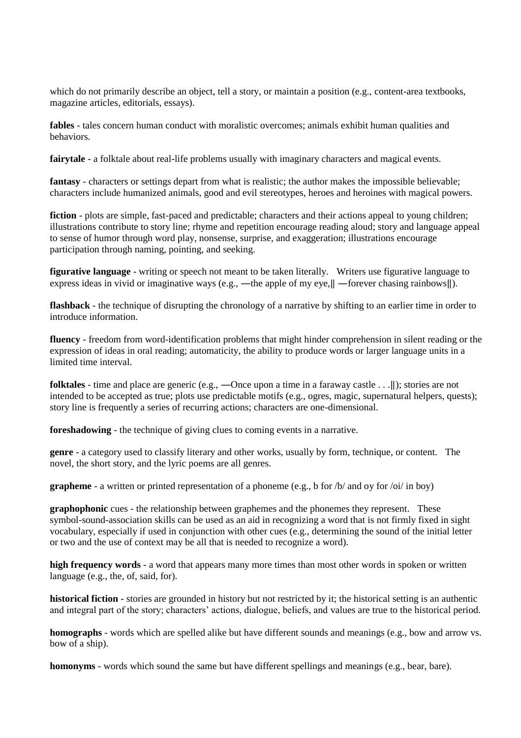which do not primarily describe an object, tell a story, or maintain a position (e.g., content-area textbooks, magazine articles, editorials, essays).

**fables** - tales concern human conduct with moralistic overcomes; animals exhibit human qualities and behaviors.

fairytale - a folktale about real-life problems usually with imaginary characters and magical events.

**fantasy** - characters or settings depart from what is realistic; the author makes the impossible believable; characters include humanized animals, good and evil stereotypes, heroes and heroines with magical powers.

**fiction** - plots are simple, fast-paced and predictable; characters and their actions appeal to young children; illustrations contribute to story line; rhyme and repetition encourage reading aloud; story and language appeal to sense of humor through word play, nonsense, surprise, and exaggeration; illustrations encourage participation through naming, pointing, and seeking.

**figurative language** - writing or speech not meant to be taken literally. Writers use figurative language to express ideas in vivid or imaginative ways (e.g., —the apple of my eye,  $\parallel$  —forever chasing rainbows $\parallel$ ).

**flashback** - the technique of disrupting the chronology of a narrative by shifting to an earlier time in order to introduce information.

**fluency** - freedom from word-identification problems that might hinder comprehension in silent reading or the expression of ideas in oral reading; automaticity, the ability to produce words or larger language units in a limited time interval.

**folktales** - time and place are generic (e.g., —Once upon a time in a faraway castle . . .||); stories are not intended to be accepted as true; plots use predictable motifs (e.g., ogres, magic, supernatural helpers, quests); story line is frequently a series of recurring actions; characters are one-dimensional.

**foreshadowing** - the technique of giving clues to coming events in a narrative.

**genre** - a category used to classify literary and other works, usually by form, technique, or content. The novel, the short story, and the lyric poems are all genres.

**grapheme** - a written or printed representation of a phoneme (e.g., b for /b/ and oy for /oi/ in boy)

**graphophonic** cues - the relationship between graphemes and the phonemes they represent. These symbol-sound-association skills can be used as an aid in recognizing a word that is not firmly fixed in sight vocabulary, especially if used in conjunction with other cues (e.g., determining the sound of the initial letter or two and the use of context may be all that is needed to recognize a word).

**high frequency words** - a word that appears many more times than most other words in spoken or written language (e.g., the, of, said, for).

**historical fiction** - stories are grounded in history but not restricted by it; the historical setting is an authentic and integral part of the story; characters' actions, dialogue, beliefs, and values are true to the historical period.

**homographs** - words which are spelled alike but have different sounds and meanings (e.g., bow and arrow vs. bow of a ship).

**homonyms** - words which sound the same but have different spellings and meanings (e.g., bear, bare).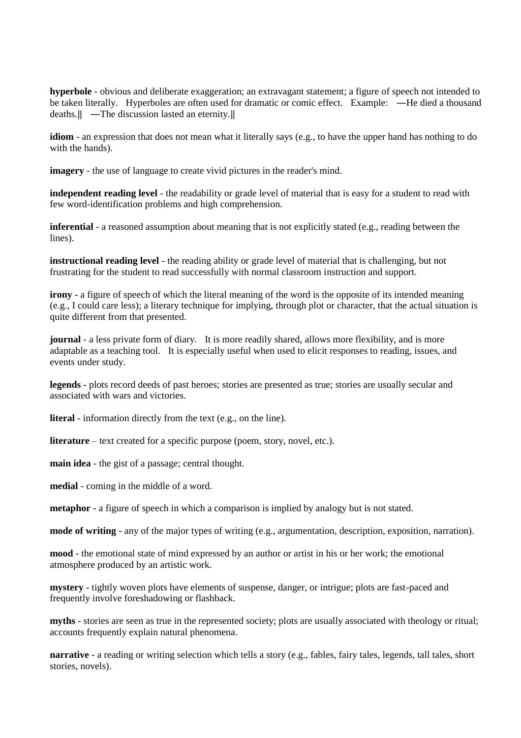**hyperbole** - obvious and deliberate exaggeration; an extravagant statement; a figure of speech not intended to be taken literally. Hyperboles are often used for dramatic or comic effect. Example: ―He died a thousand deaths.‖ ―The discussion lasted an eternity.‖

**idiom** - an expression that does not mean what it literally says (e.g., to have the upper hand has nothing to do with the hands).

**imagery** - the use of language to create vivid pictures in the reader's mind.

**independent reading level** - the readability or grade level of material that is easy for a student to read with few word-identification problems and high comprehension.

**inferential** - a reasoned assumption about meaning that is not explicitly stated (e.g., reading between the lines).

**instructional reading level** - the reading ability or grade level of material that is challenging, but not frustrating for the student to read successfully with normal classroom instruction and support.

**irony** - a figure of speech of which the literal meaning of the word is the opposite of its intended meaning (e.g., I could care less); a literary technique for implying, through plot or character, that the actual situation is quite different from that presented.

**journal** - a less private form of diary. It is more readily shared, allows more flexibility, and is more adaptable as a teaching tool. It is especially useful when used to elicit responses to reading, issues, and events under study.

**legends** - plots record deeds of past heroes; stories are presented as true; stories are usually secular and associated with wars and victories.

**literal** - information directly from the text (e.g., on the line).

**literature** – text created for a specific purpose (poem, story, novel, etc.).

**main idea** - the gist of a passage; central thought.

**medial** - coming in the middle of a word.

**metaphor** - a figure of speech in which a comparison is implied by analogy but is not stated.

**mode of writing** - any of the major types of writing (e.g., argumentation, description, exposition, narration).

**mood** - the emotional state of mind expressed by an author or artist in his or her work; the emotional atmosphere produced by an artistic work.

**mystery** - tightly woven plots have elements of suspense, danger, or intrigue; plots are fast-paced and frequently involve foreshadowing or flashback.

**myths** - stories are seen as true in the represented society; plots are usually associated with theology or ritual; accounts frequently explain natural phenomena.

**narrative** - a reading or writing selection which tells a story (e.g., fables, fairy tales, legends, tall tales, short stories, novels).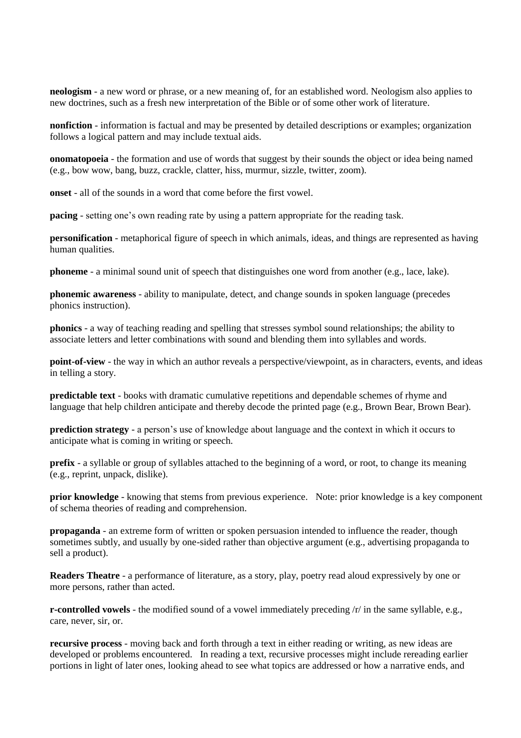**neologism** - a new word or phrase, or a new meaning of, for an established word. Neologism also applies to new doctrines, such as a fresh new interpretation of the Bible or of some other work of literature.

**nonfiction** - information is factual and may be presented by detailed descriptions or examples; organization follows a logical pattern and may include textual aids.

**onomatopoeia** - the formation and use of words that suggest by their sounds the object or idea being named (e.g., bow wow, bang, buzz, crackle, clatter, hiss, murmur, sizzle, twitter, zoom).

**onset** - all of the sounds in a word that come before the first vowel.

**pacing** - setting one's own reading rate by using a pattern appropriate for the reading task.

**personification** - metaphorical figure of speech in which animals, ideas, and things are represented as having human qualities.

**phoneme** - a minimal sound unit of speech that distinguishes one word from another (e.g., lace, lake).

**phonemic awareness** - ability to manipulate, detect, and change sounds in spoken language (precedes phonics instruction).

**phonics** - a way of teaching reading and spelling that stresses symbol sound relationships; the ability to associate letters and letter combinations with sound and blending them into syllables and words.

**point-of-view** - the way in which an author reveals a perspective/viewpoint, as in characters, events, and ideas in telling a story.

**predictable text** - books with dramatic cumulative repetitions and dependable schemes of rhyme and language that help children anticipate and thereby decode the printed page (e.g., Brown Bear, Brown Bear).

**prediction strategy** - a person's use of knowledge about language and the context in which it occurs to anticipate what is coming in writing or speech.

**prefix** - a syllable or group of syllables attached to the beginning of a word, or root, to change its meaning (e.g., reprint, unpack, dislike).

**prior knowledge** - knowing that stems from previous experience. Note: prior knowledge is a key component of schema theories of reading and comprehension.

**propaganda** - an extreme form of written or spoken persuasion intended to influence the reader, though sometimes subtly, and usually by one-sided rather than objective argument (e.g., advertising propaganda to sell a product).

**Readers Theatre** - a performance of literature, as a story, play, poetry read aloud expressively by one or more persons, rather than acted.

**r-controlled vowels** - the modified sound of a vowel immediately preceding  $/r/$  in the same syllable, e.g., care, never, sir, or.

**recursive process** - moving back and forth through a text in either reading or writing, as new ideas are developed or problems encountered. In reading a text, recursive processes might include rereading earlier portions in light of later ones, looking ahead to see what topics are addressed or how a narrative ends, and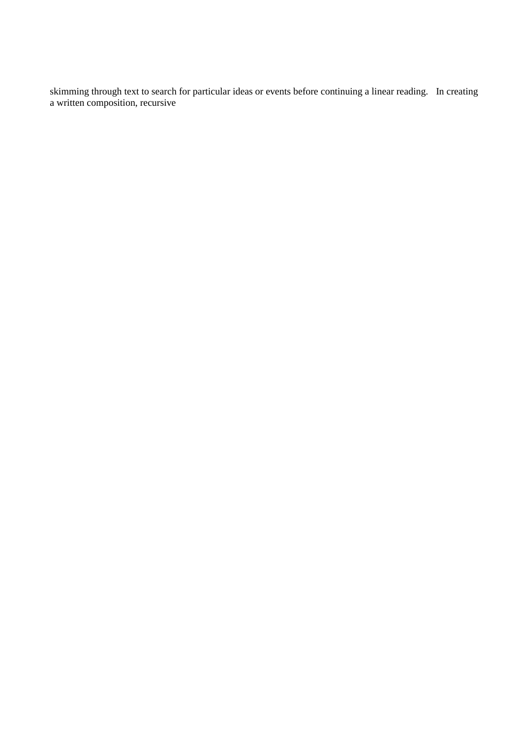skimming through text to search for particular ideas or events before continuing a linear reading. In creating a written composition, recursive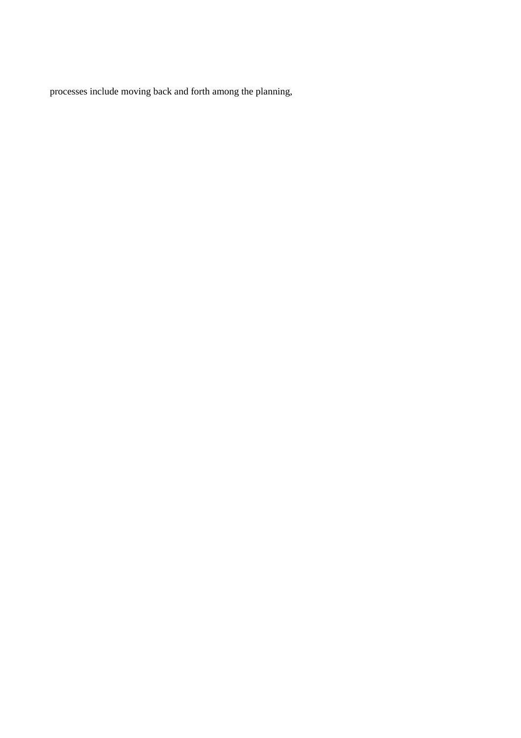processes include moving back and forth among the planning,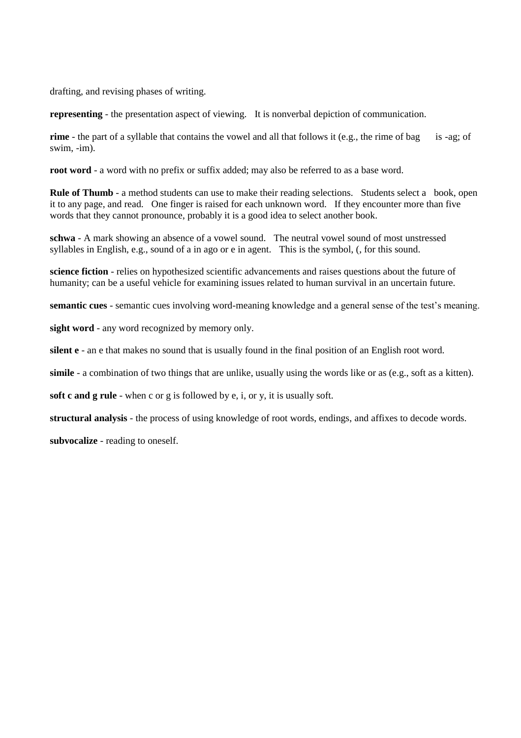drafting, and revising phases of writing.

**representing** - the presentation aspect of viewing. It is nonverbal depiction of communication.

**rime** - the part of a syllable that contains the vowel and all that follows it (e.g., the rime of bag is -ag; of swim, -im).

**root word** - a word with no prefix or suffix added; may also be referred to as a base word.

**Rule of Thumb** - a method students can use to make their reading selections. Students select a book, open it to any page, and read. One finger is raised for each unknown word. If they encounter more than five words that they cannot pronounce, probably it is a good idea to select another book.

**schwa** - A mark showing an absence of a vowel sound. The neutral vowel sound of most unstressed syllables in English, e.g., sound of a in ago or e in agent. This is the symbol, (, for this sound.

**science fiction** - relies on hypothesized scientific advancements and raises questions about the future of humanity; can be a useful vehicle for examining issues related to human survival in an uncertain future.

**semantic cues** - semantic cues involving word-meaning knowledge and a general sense of the test's meaning.

**sight word** - any word recognized by memory only.

**silent e** - an e that makes no sound that is usually found in the final position of an English root word.

**simile** - a combination of two things that are unlike, usually using the words like or as (e.g., soft as a kitten).

**soft c and g rule** - when c or g is followed by e, i, or y, it is usually soft.

**structural analysis** - the process of using knowledge of root words, endings, and affixes to decode words.

**subvocalize** - reading to oneself.